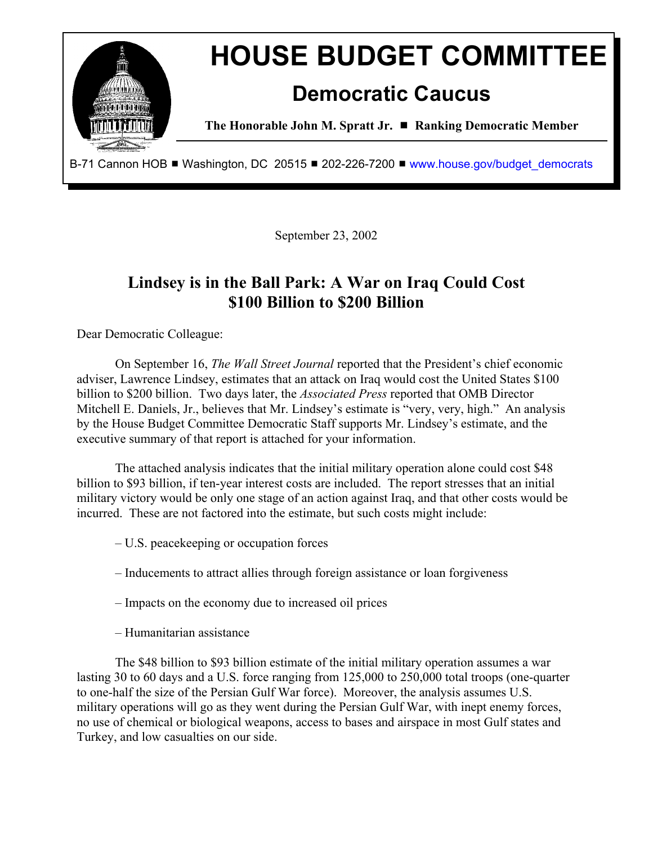

September 23, 2002

# **Lindsey is in the Ball Park: A War on Iraq Could Cost \$100 Billion to \$200 Billion**

Dear Democratic Colleague:

On September 16, *The Wall Street Journal* reported that the President's chief economic adviser, Lawrence Lindsey, estimates that an attack on Iraq would cost the United States \$100 billion to \$200 billion. Two days later, the *Associated Press* reported that OMB Director Mitchell E. Daniels, Jr., believes that Mr. Lindsey's estimate is "very, very, high." An analysis by the House Budget Committee Democratic Staff supports Mr. Lindsey's estimate, and the executive summary of that report is attached for your information.

The attached analysis indicates that the initial military operation alone could cost \$48 billion to \$93 billion, if ten-year interest costs are included. The report stresses that an initial military victory would be only one stage of an action against Iraq, and that other costs would be incurred. These are not factored into the estimate, but such costs might include:

- U.S. peacekeeping or occupation forces
- Inducements to attract allies through foreign assistance or loan forgiveness
- Impacts on the economy due to increased oil prices
- Humanitarian assistance

The \$48 billion to \$93 billion estimate of the initial military operation assumes a war lasting 30 to 60 days and a U.S. force ranging from 125,000 to 250,000 total troops (one-quarter to one-half the size of the Persian Gulf War force). Moreover, the analysis assumes U.S. military operations will go as they went during the Persian Gulf War, with inept enemy forces, no use of chemical or biological weapons, access to bases and airspace in most Gulf states and Turkey, and low casualties on our side.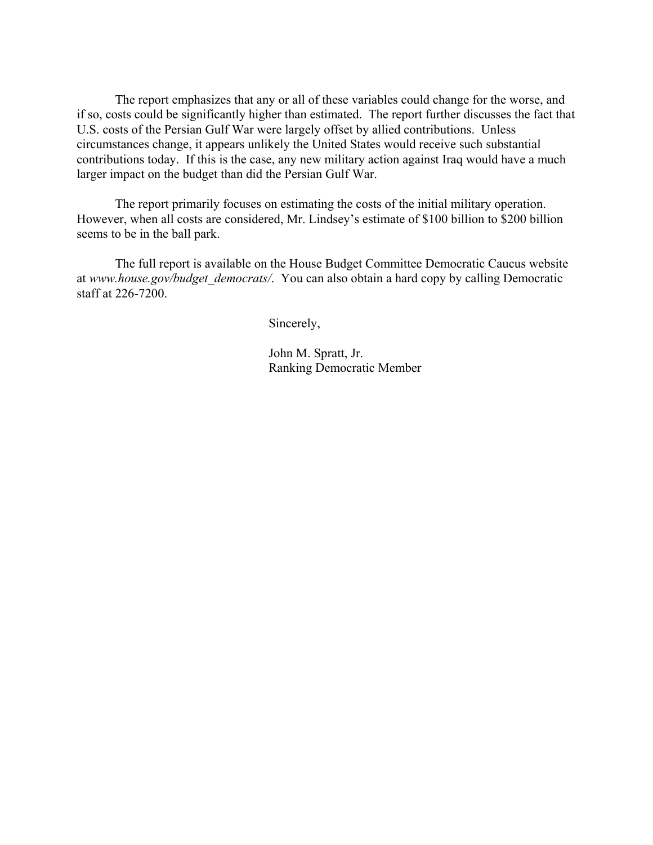The report emphasizes that any or all of these variables could change for the worse, and if so, costs could be significantly higher than estimated. The report further discusses the fact that U.S. costs of the Persian Gulf War were largely offset by allied contributions. Unless circumstances change, it appears unlikely the United States would receive such substantial contributions today. If this is the case, any new military action against Iraq would have a much larger impact on the budget than did the Persian Gulf War.

The report primarily focuses on estimating the costs of the initial military operation. However, when all costs are considered, Mr. Lindsey's estimate of \$100 billion to \$200 billion seems to be in the ball park.

The full report is available on the House Budget Committee Democratic Caucus website at *www.house.gov/budget\_democrats/*. You can also obtain a hard copy by calling Democratic staff at 226-7200.

Sincerely,

John M. Spratt, Jr. Ranking Democratic Member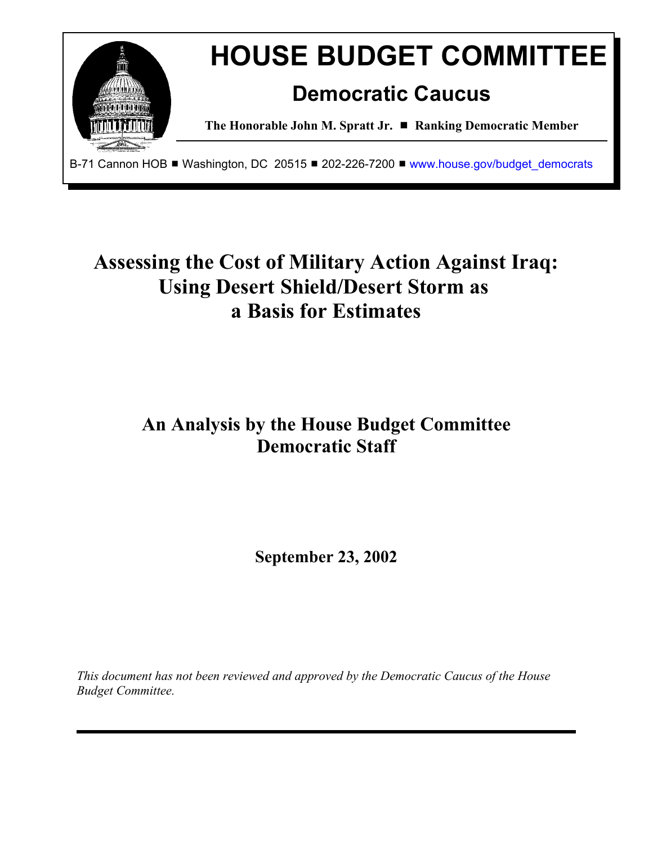

# **Assessing the Cost of Military Action Against Iraq: Using Desert Shield/Desert Storm as a Basis for Estimates**

# **An Analysis by the House Budget Committee Democratic Staff**

**September 23, 2002**

*This document has not been reviewed and approved by the Democratic Caucus of the House Budget Committee.*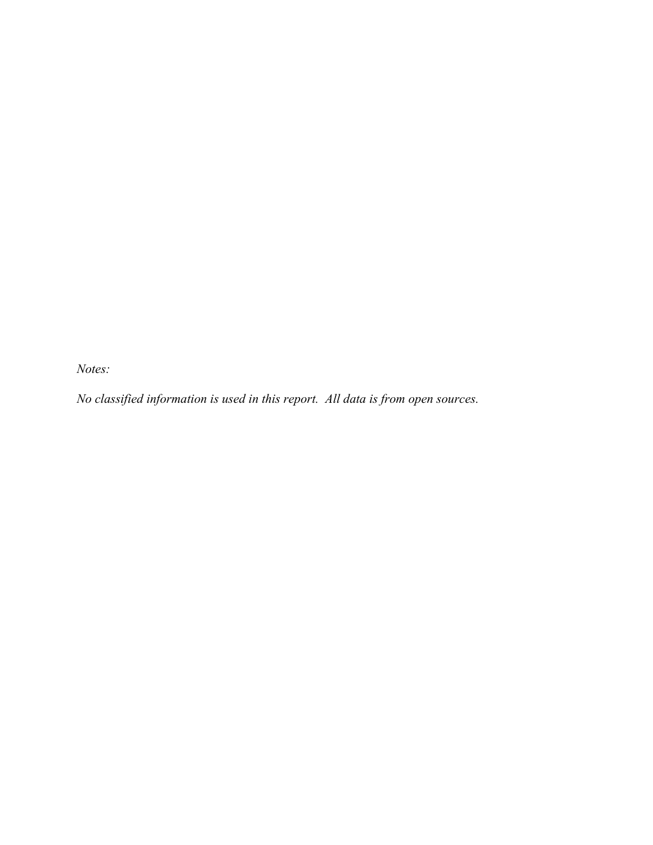*Notes:* 

*No classified information is used in this report. All data is from open sources.*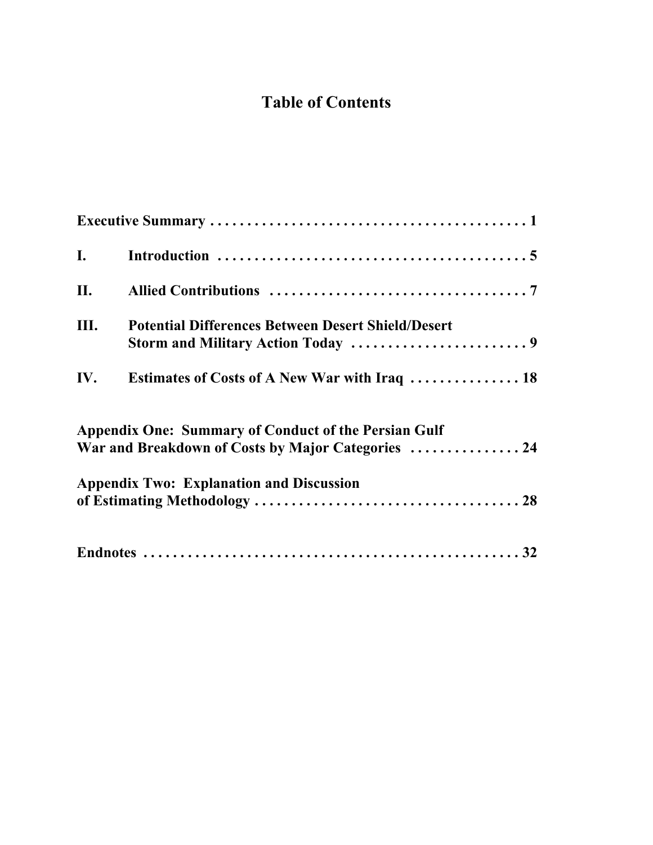# **Table of Contents**

| $\mathbf{I}$ . |                                                                                                |
|----------------|------------------------------------------------------------------------------------------------|
| II.            |                                                                                                |
| Ш.             | <b>Potential Differences Between Desert Shield/Desert</b><br>Storm and Military Action Today 9 |
| IV.            | Estimates of Costs of A New War with Iraq  18                                                  |
|                | <b>Appendix One: Summary of Conduct of the Persian Gulf</b>                                    |
|                | War and Breakdown of Costs by Major Categories  24                                             |
|                | <b>Appendix Two: Explanation and Discussion</b>                                                |
|                |                                                                                                |
|                |                                                                                                |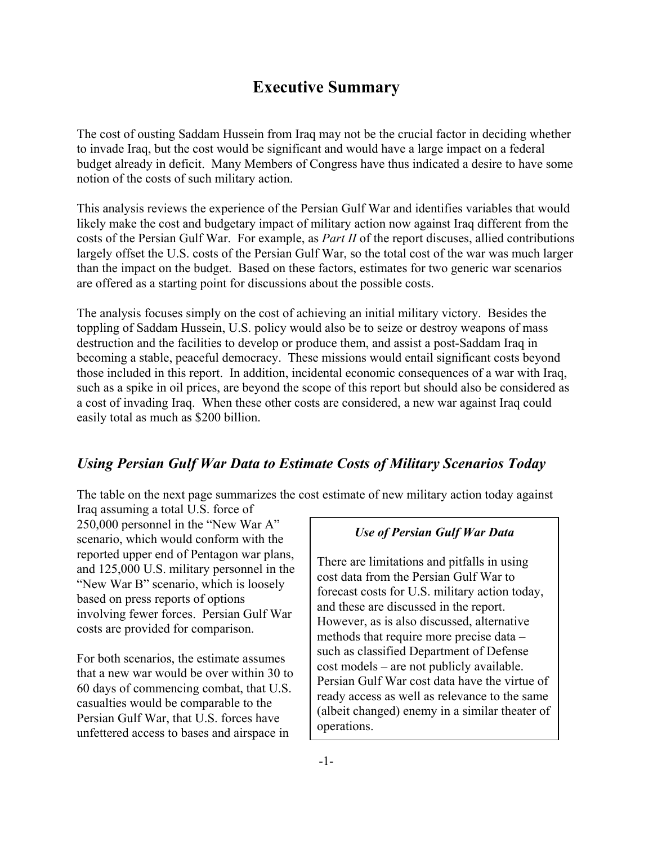# **Executive Summary**

The cost of ousting Saddam Hussein from Iraq may not be the crucial factor in deciding whether to invade Iraq, but the cost would be significant and would have a large impact on a federal budget already in deficit. Many Members of Congress have thus indicated a desire to have some notion of the costs of such military action.

This analysis reviews the experience of the Persian Gulf War and identifies variables that would likely make the cost and budgetary impact of military action now against Iraq different from the costs of the Persian Gulf War. For example, as *Part II* of the report discuses, allied contributions largely offset the U.S. costs of the Persian Gulf War, so the total cost of the war was much larger than the impact on the budget. Based on these factors, estimates for two generic war scenarios are offered as a starting point for discussions about the possible costs.

The analysis focuses simply on the cost of achieving an initial military victory. Besides the toppling of Saddam Hussein, U.S. policy would also be to seize or destroy weapons of mass destruction and the facilities to develop or produce them, and assist a post-Saddam Iraq in becoming a stable, peaceful democracy. These missions would entail significant costs beyond those included in this report. In addition, incidental economic consequences of a war with Iraq, such as a spike in oil prices, are beyond the scope of this report but should also be considered as a cost of invading Iraq. When these other costs are considered, a new war against Iraq could easily total as much as \$200 billion.

## *Using Persian Gulf War Data to Estimate Costs of Military Scenarios Today*

The table on the next page summarizes the cost estimate of new military action today against

Iraq assuming a total U.S. force of 250,000 personnel in the "New War A" scenario, which would conform with the reported upper end of Pentagon war plans, and 125,000 U.S. military personnel in the "New War B" scenario, which is loosely based on press reports of options involving fewer forces. Persian Gulf War costs are provided for comparison.

For both scenarios, the estimate assumes that a new war would be over within 30 to 60 days of commencing combat, that U.S. casualties would be comparable to the Persian Gulf War, that U.S. forces have unfettered access to bases and airspace in

## *Use of Persian Gulf War Data*

There are limitations and pitfalls in using cost data from the Persian Gulf War to forecast costs for U.S. military action today, and these are discussed in the report. However, as is also discussed, alternative methods that require more precise data – such as classified Department of Defense cost models – are not publicly available. Persian Gulf War cost data have the virtue of ready access as well as relevance to the same (albeit changed) enemy in a similar theater of operations.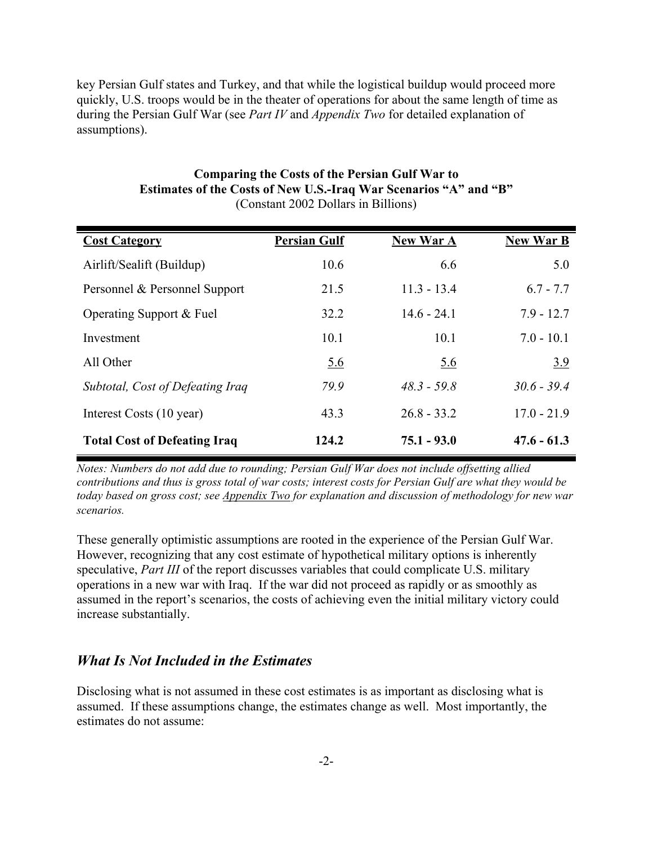key Persian Gulf states and Turkey, and that while the logistical buildup would proceed more quickly, U.S. troops would be in the theater of operations for about the same length of time as during the Persian Gulf War (see *Part IV* and *Appendix Two* for detailed explanation of assumptions).

| <b>Cost Category</b>                | <b>Persian Gulf</b> | <b>New War A</b> | <b>New War B</b> |
|-------------------------------------|---------------------|------------------|------------------|
| Airlift/Sealift (Buildup)           | 10.6                | 6.6              | 5.0              |
| Personnel & Personnel Support       | 21.5                | $11.3 - 13.4$    | $6.7 - 7.7$      |
| Operating Support & Fuel            | 32.2                | $14.6 - 24.1$    | $7.9 - 12.7$     |
| Investment                          | 10.1                | 10.1             | $7.0 - 10.1$     |
| All Other                           | <u>5.6</u>          | <u>5.6</u>       | 3.9              |
| Subtotal, Cost of Defeating Iraq    | 79.9                | $48.3 - 59.8$    | $30.6 - 39.4$    |
| Interest Costs (10 year)            | 43.3                | $26.8 - 33.2$    | $17.0 - 21.9$    |
| <b>Total Cost of Defeating Iraq</b> | 124.2               | $75.1 - 93.0$    | $47.6 - 61.3$    |

#### **Comparing the Costs of the Persian Gulf War to Estimates of the Costs of New U.S.-Iraq War Scenarios "A" and "B"** (Constant 2002 Dollars in Billions)

*Notes: Numbers do not add due to rounding; Persian Gulf War does not include offsetting allied contributions and thus is gross total of war costs; interest costs for Persian Gulf are what they would be today based on gross cost; see Appendix Two for explanation and discussion of methodology for new war scenarios.*

These generally optimistic assumptions are rooted in the experience of the Persian Gulf War. However, recognizing that any cost estimate of hypothetical military options is inherently speculative, *Part III* of the report discusses variables that could complicate U.S. military operations in a new war with Iraq. If the war did not proceed as rapidly or as smoothly as assumed in the report's scenarios, the costs of achieving even the initial military victory could increase substantially.

## *What Is Not Included in the Estimates*

Disclosing what is not assumed in these cost estimates is as important as disclosing what is assumed. If these assumptions change, the estimates change as well. Most importantly, the estimates do not assume: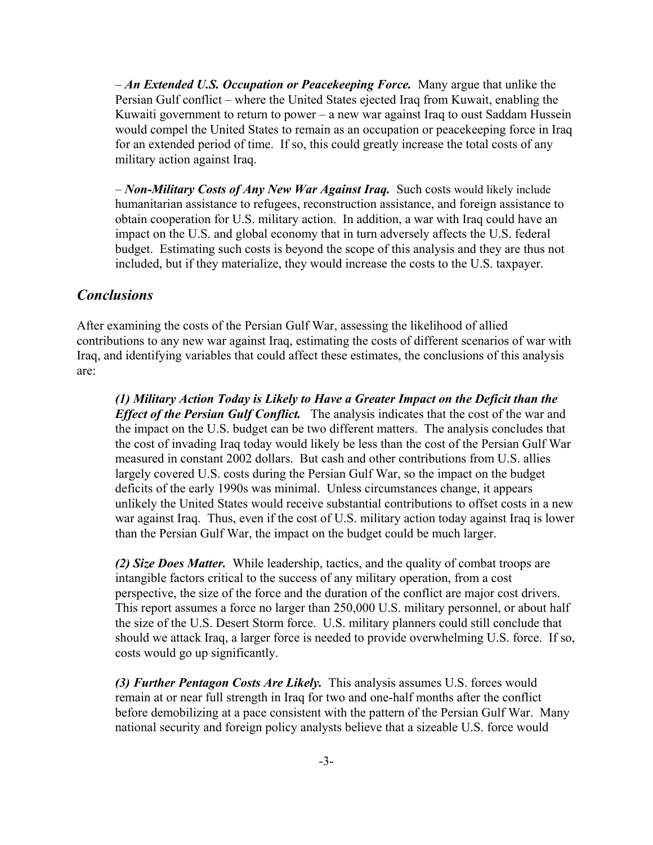– *An Extended U.S. Occupation or Peacekeeping Force.* Many argue that unlike the Persian Gulf conflict – where the United States ejected Iraq from Kuwait, enabling the Kuwaiti government to return to power – a new war against Iraq to oust Saddam Hussein would compel the United States to remain as an occupation or peacekeeping force in Iraq for an extended period of time. If so, this could greatly increase the total costs of any military action against Iraq.

– *Non-Military Costs of Any New War Against Iraq.* Such costs would likely include humanitarian assistance to refugees, reconstruction assistance, and foreign assistance to obtain cooperation for U.S. military action. In addition, a war with Iraq could have an impact on the U.S. and global economy that in turn adversely affects the U.S. federal budget. Estimating such costs is beyond the scope of this analysis and they are thus not included, but if they materialize, they would increase the costs to the U.S. taxpayer.

## *Conclusions*

After examining the costs of the Persian Gulf War, assessing the likelihood of allied contributions to any new war against Iraq, estimating the costs of different scenarios of war with Iraq, and identifying variables that could affect these estimates, the conclusions of this analysis are:

*(1) Military Action Today is Likely to Have a Greater Impact on the Deficit than the Effect of the Persian Gulf Conflict.* The analysis indicates that the cost of the war and the impact on the U.S. budget can be two different matters. The analysis concludes that the cost of invading Iraq today would likely be less than the cost of the Persian Gulf War measured in constant 2002 dollars. But cash and other contributions from U.S. allies largely covered U.S. costs during the Persian Gulf War, so the impact on the budget deficits of the early 1990s was minimal. Unless circumstances change, it appears unlikely the United States would receive substantial contributions to offset costs in a new war against Iraq. Thus, even if the cost of U.S. military action today against Iraq is lower than the Persian Gulf War, the impact on the budget could be much larger.

*(2) Size Does Matter.* While leadership, tactics, and the quality of combat troops are intangible factors critical to the success of any military operation, from a cost perspective, the size of the force and the duration of the conflict are major cost drivers. This report assumes a force no larger than 250,000 U.S. military personnel, or about half the size of the U.S. Desert Storm force. U.S. military planners could still conclude that should we attack Iraq, a larger force is needed to provide overwhelming U.S. force. If so, costs would go up significantly.

*(3) Further Pentagon Costs Are Likely.* This analysis assumes U.S. forces would remain at or near full strength in Iraq for two and one-half months after the conflict before demobilizing at a pace consistent with the pattern of the Persian Gulf War. Many national security and foreign policy analysts believe that a sizeable U.S. force would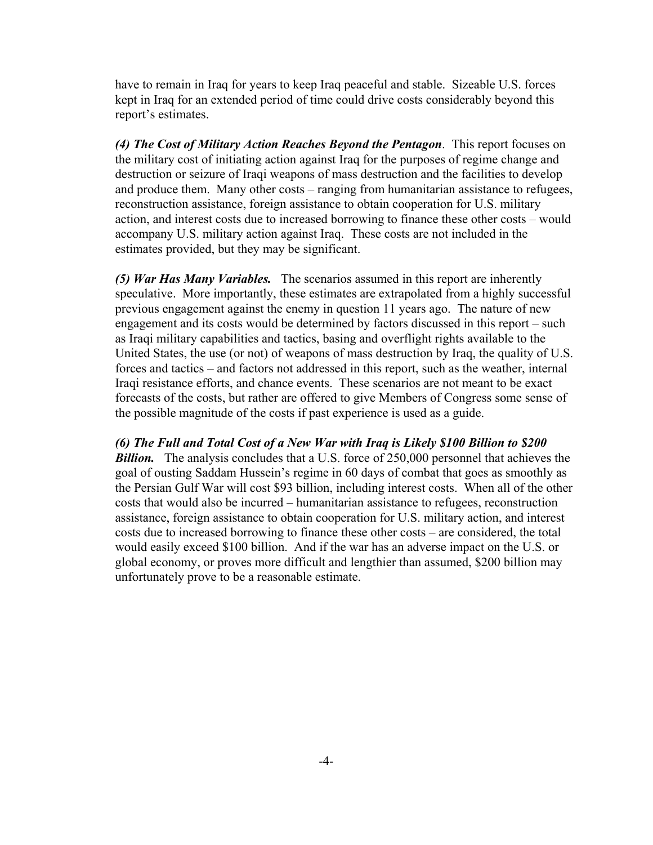have to remain in Iraq for years to keep Iraq peaceful and stable. Sizeable U.S. forces kept in Iraq for an extended period of time could drive costs considerably beyond this report's estimates.

*(4) The Cost of Military Action Reaches Beyond the Pentagon*. This report focuses on the military cost of initiating action against Iraq for the purposes of regime change and destruction or seizure of Iraqi weapons of mass destruction and the facilities to develop and produce them. Many other costs – ranging from humanitarian assistance to refugees, reconstruction assistance, foreign assistance to obtain cooperation for U.S. military action, and interest costs due to increased borrowing to finance these other costs – would accompany U.S. military action against Iraq. These costs are not included in the estimates provided, but they may be significant.

*(5) War Has Many Variables.* The scenarios assumed in this report are inherently speculative. More importantly, these estimates are extrapolated from a highly successful previous engagement against the enemy in question 11 years ago. The nature of new engagement and its costs would be determined by factors discussed in this report – such as Iraqi military capabilities and tactics, basing and overflight rights available to the United States, the use (or not) of weapons of mass destruction by Iraq, the quality of U.S. forces and tactics – and factors not addressed in this report, such as the weather, internal Iraqi resistance efforts, and chance events. These scenarios are not meant to be exact forecasts of the costs, but rather are offered to give Members of Congress some sense of the possible magnitude of the costs if past experience is used as a guide.

*(6) The Full and Total Cost of a New War with Iraq is Likely \$100 Billion to \$200* **Billion.** The analysis concludes that a U.S. force of 250,000 personnel that achieves the goal of ousting Saddam Hussein's regime in 60 days of combat that goes as smoothly as the Persian Gulf War will cost \$93 billion, including interest costs. When all of the other costs that would also be incurred – humanitarian assistance to refugees, reconstruction assistance, foreign assistance to obtain cooperation for U.S. military action, and interest costs due to increased borrowing to finance these other costs – are considered, the total would easily exceed \$100 billion. And if the war has an adverse impact on the U.S. or global economy, or proves more difficult and lengthier than assumed, \$200 billion may unfortunately prove to be a reasonable estimate.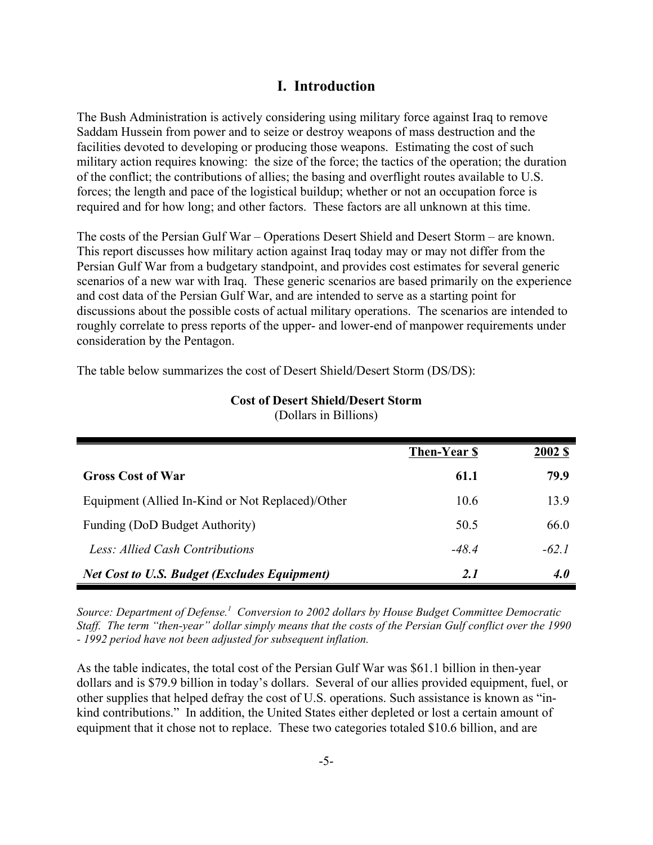## **I. Introduction**

The Bush Administration is actively considering using military force against Iraq to remove Saddam Hussein from power and to seize or destroy weapons of mass destruction and the facilities devoted to developing or producing those weapons. Estimating the cost of such military action requires knowing: the size of the force; the tactics of the operation; the duration of the conflict; the contributions of allies; the basing and overflight routes available to U.S. forces; the length and pace of the logistical buildup; whether or not an occupation force is required and for how long; and other factors. These factors are all unknown at this time.

The costs of the Persian Gulf War – Operations Desert Shield and Desert Storm – are known. This report discusses how military action against Iraq today may or may not differ from the Persian Gulf War from a budgetary standpoint, and provides cost estimates for several generic scenarios of a new war with Iraq. These generic scenarios are based primarily on the experience and cost data of the Persian Gulf War, and are intended to serve as a starting point for discussions about the possible costs of actual military operations. The scenarios are intended to roughly correlate to press reports of the upper- and lower-end of manpower requirements under consideration by the Pentagon.

The table below summarizes the cost of Desert Shield/Desert Storm (DS/DS):

|                                                     | Then-Year \$ | <b>2002 \$</b> |
|-----------------------------------------------------|--------------|----------------|
| <b>Gross Cost of War</b>                            | 61.1         | 79.9           |
| Equipment (Allied In-Kind or Not Replaced)/Other    | 10.6         | 13.9           |
| Funding (DoD Budget Authority)                      | 50.5         | 66.0           |
| Less: Allied Cash Contributions                     | $-48.4$      | $-62.1$        |
| <b>Net Cost to U.S. Budget (Excludes Equipment)</b> | 2.1          | <b>4.0</b>     |

#### **Cost of Desert Shield/Desert Storm** (Dollars in Billions)

*Source: Department of Defense.1 Conversion to 2002 dollars by House Budget Committee Democratic Staff. The term "then-year" dollar simply means that the costs of the Persian Gulf conflict over the 1990 - 1992 period have not been adjusted for subsequent inflation.*

As the table indicates, the total cost of the Persian Gulf War was \$61.1 billion in then-year dollars and is \$79.9 billion in today's dollars. Several of our allies provided equipment, fuel, or other supplies that helped defray the cost of U.S. operations. Such assistance is known as "inkind contributions." In addition, the United States either depleted or lost a certain amount of equipment that it chose not to replace. These two categories totaled \$10.6 billion, and are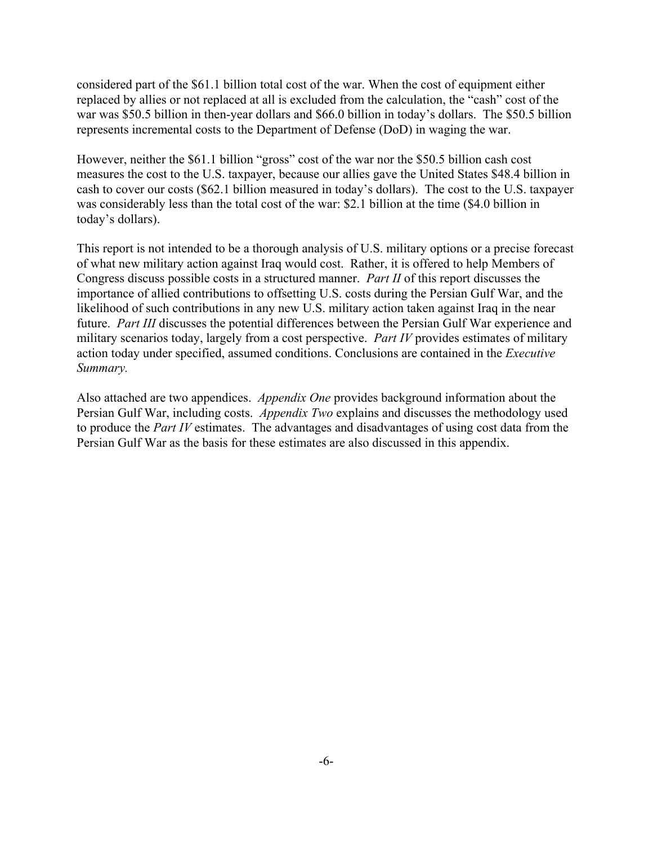considered part of the \$61.1 billion total cost of the war. When the cost of equipment either replaced by allies or not replaced at all is excluded from the calculation, the "cash" cost of the war was \$50.5 billion in then-year dollars and \$66.0 billion in today's dollars. The \$50.5 billion represents incremental costs to the Department of Defense (DoD) in waging the war.

However, neither the \$61.1 billion "gross" cost of the war nor the \$50.5 billion cash cost measures the cost to the U.S. taxpayer, because our allies gave the United States \$48.4 billion in cash to cover our costs (\$62.1 billion measured in today's dollars). The cost to the U.S. taxpayer was considerably less than the total cost of the war: \$2.1 billion at the time (\$4.0 billion in today's dollars).

This report is not intended to be a thorough analysis of U.S. military options or a precise forecast of what new military action against Iraq would cost. Rather, it is offered to help Members of Congress discuss possible costs in a structured manner. *Part II* of this report discusses the importance of allied contributions to offsetting U.S. costs during the Persian Gulf War, and the likelihood of such contributions in any new U.S. military action taken against Iraq in the near future. *Part III* discusses the potential differences between the Persian Gulf War experience and military scenarios today, largely from a cost perspective. *Part IV* provides estimates of military action today under specified, assumed conditions. Conclusions are contained in the *Executive Summary.*

Also attached are two appendices. *Appendix One* provides background information about the Persian Gulf War, including costs. *Appendix Two* explains and discusses the methodology used to produce the *Part IV* estimates. The advantages and disadvantages of using cost data from the Persian Gulf War as the basis for these estimates are also discussed in this appendix.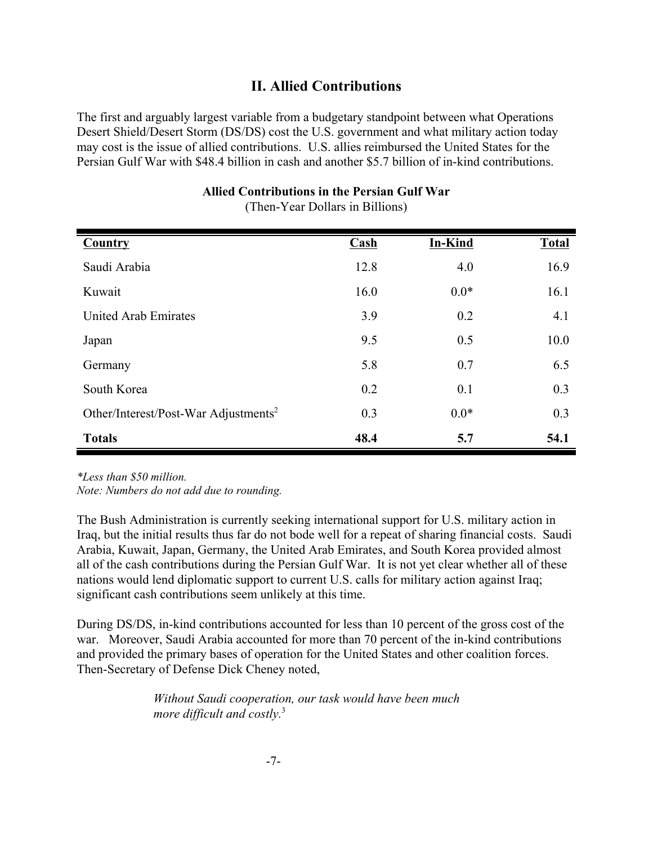## **II. Allied Contributions**

The first and arguably largest variable from a budgetary standpoint between what Operations Desert Shield/Desert Storm (DS/DS) cost the U.S. government and what military action today may cost is the issue of allied contributions. U.S. allies reimbursed the United States for the Persian Gulf War with \$48.4 billion in cash and another \$5.7 billion of in-kind contributions.

| <b>Country</b>                                   | $Cash$ | <b>In-Kind</b> | <b>Total</b> |
|--------------------------------------------------|--------|----------------|--------------|
|                                                  |        |                |              |
| Saudi Arabia                                     | 12.8   | 4.0            | 16.9         |
| Kuwait                                           | 16.0   | $0.0*$         | 16.1         |
| United Arab Emirates                             | 3.9    | 0.2            | 4.1          |
| Japan                                            | 9.5    | 0.5            | 10.0         |
| Germany                                          | 5.8    | 0.7            | 6.5          |
| South Korea                                      | 0.2    | 0.1            | 0.3          |
| Other/Interest/Post-War Adjustments <sup>2</sup> | 0.3    | $0.0*$         | 0.3          |
| <b>Totals</b>                                    | 48.4   | 5.7            | 54.1         |

**Allied Contributions in the Persian Gulf War** (Then-Year Dollars in Billions)

*\*Less than \$50 million.*

*Note: Numbers do not add due to rounding.*

The Bush Administration is currently seeking international support for U.S. military action in Iraq, but the initial results thus far do not bode well for a repeat of sharing financial costs. Saudi Arabia, Kuwait, Japan, Germany, the United Arab Emirates, and South Korea provided almost all of the cash contributions during the Persian Gulf War. It is not yet clear whether all of these nations would lend diplomatic support to current U.S. calls for military action against Iraq; significant cash contributions seem unlikely at this time.

During DS/DS, in-kind contributions accounted for less than 10 percent of the gross cost of the war. Moreover, Saudi Arabia accounted for more than 70 percent of the in-kind contributions and provided the primary bases of operation for the United States and other coalition forces. Then-Secretary of Defense Dick Cheney noted,

> *Without Saudi cooperation, our task would have been much more difficult and costly.*<sup>3</sup>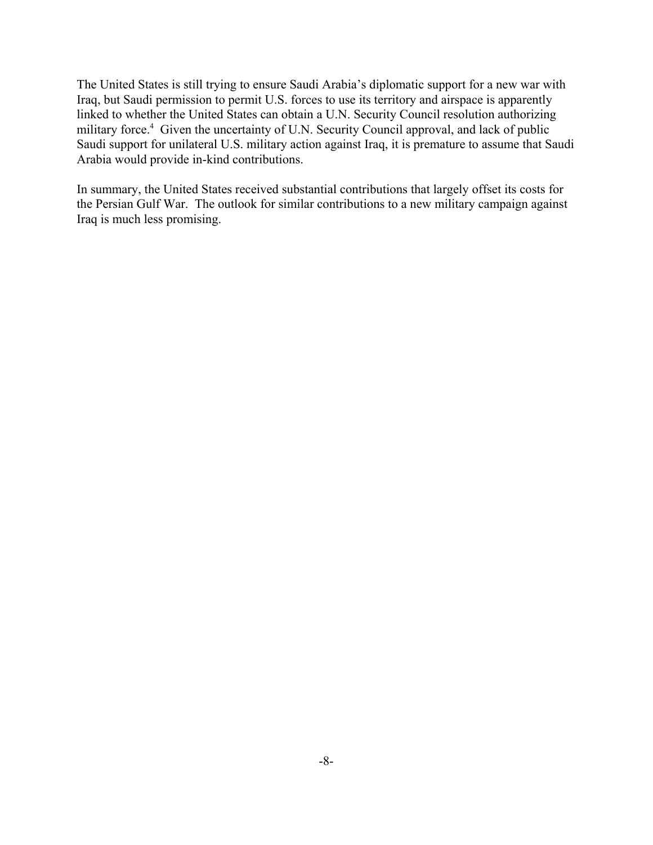The United States is still trying to ensure Saudi Arabia's diplomatic support for a new war with Iraq, but Saudi permission to permit U.S. forces to use its territory and airspace is apparently linked to whether the United States can obtain a U.N. Security Council resolution authorizing military force.<sup>4</sup> Given the uncertainty of U.N. Security Council approval, and lack of public Saudi support for unilateral U.S. military action against Iraq, it is premature to assume that Saudi Arabia would provide in-kind contributions.

In summary, the United States received substantial contributions that largely offset its costs for the Persian Gulf War. The outlook for similar contributions to a new military campaign against Iraq is much less promising.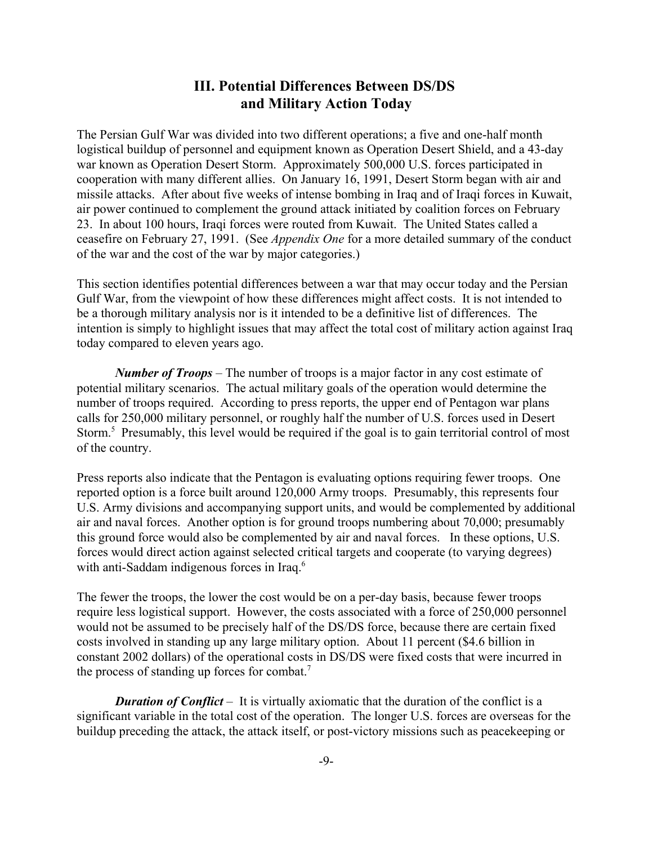## **III. Potential Differences Between DS/DS and Military Action Today**

The Persian Gulf War was divided into two different operations; a five and one-half month logistical buildup of personnel and equipment known as Operation Desert Shield, and a 43-day war known as Operation Desert Storm. Approximately 500,000 U.S. forces participated in cooperation with many different allies. On January 16, 1991, Desert Storm began with air and missile attacks. After about five weeks of intense bombing in Iraq and of Iraqi forces in Kuwait, air power continued to complement the ground attack initiated by coalition forces on February 23. In about 100 hours, Iraqi forces were routed from Kuwait. The United States called a ceasefire on February 27, 1991. (See *Appendix One* for a more detailed summary of the conduct of the war and the cost of the war by major categories.)

This section identifies potential differences between a war that may occur today and the Persian Gulf War, from the viewpoint of how these differences might affect costs. It is not intended to be a thorough military analysis nor is it intended to be a definitive list of differences. The intention is simply to highlight issues that may affect the total cost of military action against Iraq today compared to eleven years ago.

*Number of Troops* – The number of troops is a major factor in any cost estimate of potential military scenarios. The actual military goals of the operation would determine the number of troops required. According to press reports, the upper end of Pentagon war plans calls for 250,000 military personnel, or roughly half the number of U.S. forces used in Desert Storm.<sup>5</sup> Presumably, this level would be required if the goal is to gain territorial control of most of the country.

Press reports also indicate that the Pentagon is evaluating options requiring fewer troops. One reported option is a force built around 120,000 Army troops. Presumably, this represents four U.S. Army divisions and accompanying support units, and would be complemented by additional air and naval forces. Another option is for ground troops numbering about 70,000; presumably this ground force would also be complemented by air and naval forces. In these options, U.S. forces would direct action against selected critical targets and cooperate (to varying degrees) with anti-Saddam indigenous forces in Iraq.<sup>6</sup>

The fewer the troops, the lower the cost would be on a per-day basis, because fewer troops require less logistical support. However, the costs associated with a force of 250,000 personnel would not be assumed to be precisely half of the DS/DS force, because there are certain fixed costs involved in standing up any large military option. About 11 percent (\$4.6 billion in constant 2002 dollars) of the operational costs in DS/DS were fixed costs that were incurred in the process of standing up forces for combat.7

*Duration of Conflict* – It is virtually axiomatic that the duration of the conflict is a significant variable in the total cost of the operation. The longer U.S. forces are overseas for the buildup preceding the attack, the attack itself, or post-victory missions such as peacekeeping or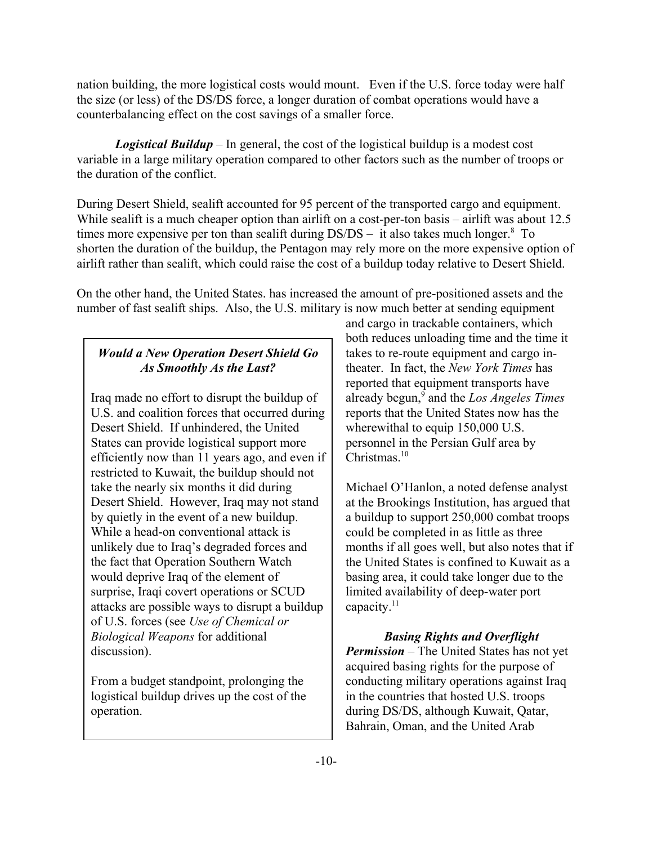nation building, the more logistical costs would mount. Even if the U.S. force today were half the size (or less) of the DS/DS force, a longer duration of combat operations would have a counterbalancing effect on the cost savings of a smaller force.

*Logistical Buildup* – In general, the cost of the logistical buildup is a modest cost variable in a large military operation compared to other factors such as the number of troops or the duration of the conflict.

During Desert Shield, sealift accounted for 95 percent of the transported cargo and equipment. While sealift is a much cheaper option than airlift on a cost-per-ton basis – airlift was about 12.5 times more expensive per ton than sealift during  $DS/DS - it$  also takes much longer.<sup>8</sup> To shorten the duration of the buildup, the Pentagon may rely more on the more expensive option of airlift rather than sealift, which could raise the cost of a buildup today relative to Desert Shield.

On the other hand, the United States. has increased the amount of pre-positioned assets and the number of fast sealift ships. Also, the U.S. military is now much better at sending equipment

## *Would a New Operation Desert Shield Go As Smoothly As the Last?*

Iraq made no effort to disrupt the buildup of U.S. and coalition forces that occurred during Desert Shield. If unhindered, the United States can provide logistical support more efficiently now than 11 years ago, and even if restricted to Kuwait, the buildup should not take the nearly six months it did during Desert Shield. However, Iraq may not stand by quietly in the event of a new buildup. While a head-on conventional attack is unlikely due to Iraq's degraded forces and the fact that Operation Southern Watch would deprive Iraq of the element of surprise, Iraqi covert operations or SCUD attacks are possible ways to disrupt a buildup of U.S. forces (see *Use of Chemical or Biological Weapons* for additional discussion).

From a budget standpoint, prolonging the logistical buildup drives up the cost of the operation.

and cargo in trackable containers, which both reduces unloading time and the time it takes to re-route equipment and cargo intheater. In fact, the *New York Times* has reported that equipment transports have already begun,<sup>9</sup> and the *Los Angeles Times* reports that the United States now has the wherewithal to equip 150,000 U.S. personnel in the Persian Gulf area by Christmas.<sup>10</sup>

Michael O'Hanlon, a noted defense analyst at the Brookings Institution, has argued that a buildup to support 250,000 combat troops could be completed in as little as three months if all goes well, but also notes that if the United States is confined to Kuwait as a basing area, it could take longer due to the limited availability of deep-water port capacity.<sup>11</sup>

*Basing Rights and Overflight Permission* – The United States has not yet acquired basing rights for the purpose of conducting military operations against Iraq in the countries that hosted U.S. troops during DS/DS, although Kuwait, Qatar, Bahrain, Oman, and the United Arab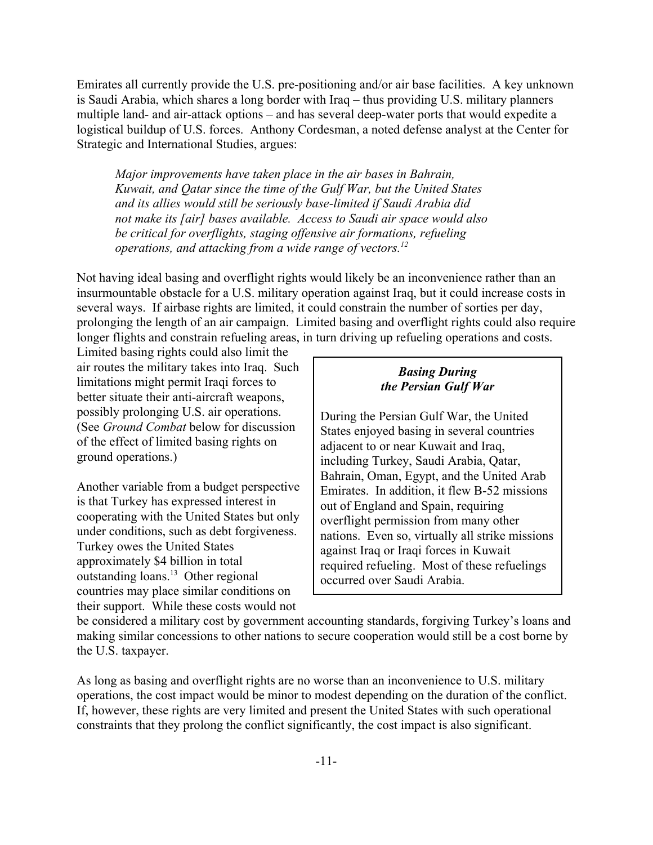Emirates all currently provide the U.S. pre-positioning and/or air base facilities. A key unknown is Saudi Arabia, which shares a long border with Iraq – thus providing U.S. military planners multiple land- and air-attack options – and has several deep-water ports that would expedite a logistical buildup of U.S. forces. Anthony Cordesman, a noted defense analyst at the Center for Strategic and International Studies, argues:

*Major improvements have taken place in the air bases in Bahrain, Kuwait, and Qatar since the time of the Gulf War, but the United States and its allies would still be seriously base-limited if Saudi Arabia did not make its [air] bases available. Access to Saudi air space would also be critical for overflights, staging offensive air formations, refueling operations, and attacking from a wide range of vectors.12*

Not having ideal basing and overflight rights would likely be an inconvenience rather than an insurmountable obstacle for a U.S. military operation against Iraq, but it could increase costs in several ways. If airbase rights are limited, it could constrain the number of sorties per day, prolonging the length of an air campaign. Limited basing and overflight rights could also require longer flights and constrain refueling areas, in turn driving up refueling operations and costs.

Limited basing rights could also limit the air routes the military takes into Iraq. Such limitations might permit Iraqi forces to better situate their anti-aircraft weapons, possibly prolonging U.S. air operations. (See *Ground Combat* below for discussion of the effect of limited basing rights on ground operations.)

Another variable from a budget perspective is that Turkey has expressed interest in cooperating with the United States but only under conditions, such as debt forgiveness. Turkey owes the United States approximately \$4 billion in total outstanding loans.13 Other regional countries may place similar conditions on their support. While these costs would not

### *Basing During the Persian Gulf War*

During the Persian Gulf War, the United States enjoyed basing in several countries adjacent to or near Kuwait and Iraq, including Turkey, Saudi Arabia, Qatar, Bahrain, Oman, Egypt, and the United Arab Emirates. In addition, it flew B-52 missions out of England and Spain, requiring overflight permission from many other nations. Even so, virtually all strike missions against Iraq or Iraqi forces in Kuwait required refueling. Most of these refuelings occurred over Saudi Arabia.

be considered a military cost by government accounting standards, forgiving Turkey's loans and making similar concessions to other nations to secure cooperation would still be a cost borne by the U.S. taxpayer.

As long as basing and overflight rights are no worse than an inconvenience to U.S. military operations, the cost impact would be minor to modest depending on the duration of the conflict. If, however, these rights are very limited and present the United States with such operational constraints that they prolong the conflict significantly, the cost impact is also significant.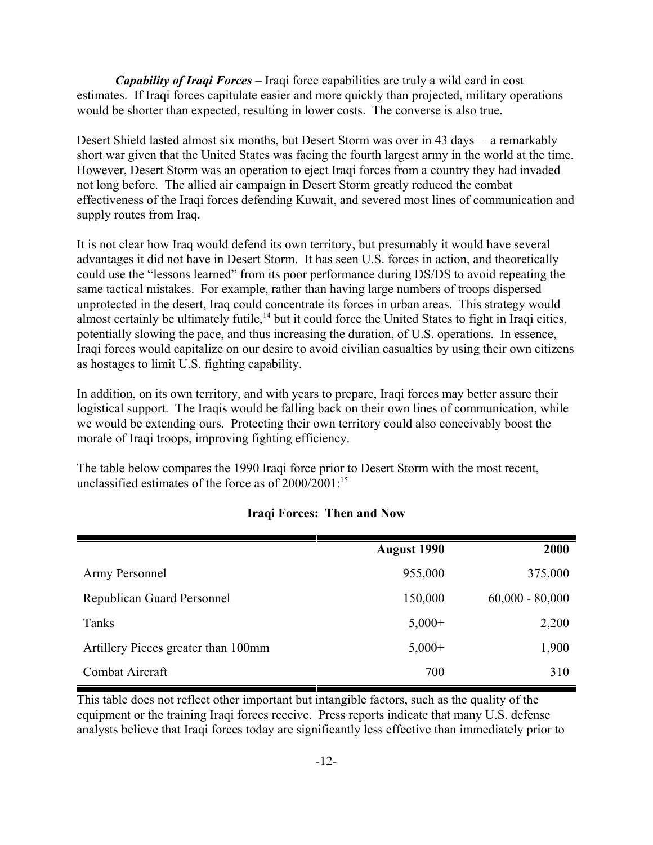*Capability of Iraqi Forces* – Iraqi force capabilities are truly a wild card in cost estimates. If Iraqi forces capitulate easier and more quickly than projected, military operations would be shorter than expected, resulting in lower costs. The converse is also true.

Desert Shield lasted almost six months, but Desert Storm was over in 43 days – a remarkably short war given that the United States was facing the fourth largest army in the world at the time. However, Desert Storm was an operation to eject Iraqi forces from a country they had invaded not long before. The allied air campaign in Desert Storm greatly reduced the combat effectiveness of the Iraqi forces defending Kuwait, and severed most lines of communication and supply routes from Iraq.

It is not clear how Iraq would defend its own territory, but presumably it would have several advantages it did not have in Desert Storm. It has seen U.S. forces in action, and theoretically could use the "lessons learned" from its poor performance during DS/DS to avoid repeating the same tactical mistakes. For example, rather than having large numbers of troops dispersed unprotected in the desert, Iraq could concentrate its forces in urban areas. This strategy would almost certainly be ultimately futile,<sup>14</sup> but it could force the United States to fight in Iraqi cities, potentially slowing the pace, and thus increasing the duration, of U.S. operations. In essence, Iraqi forces would capitalize on our desire to avoid civilian casualties by using their own citizens as hostages to limit U.S. fighting capability.

In addition, on its own territory, and with years to prepare, Iraqi forces may better assure their logistical support. The Iraqis would be falling back on their own lines of communication, while we would be extending ours. Protecting their own territory could also conceivably boost the morale of Iraqi troops, improving fighting efficiency.

The table below compares the 1990 Iraqi force prior to Desert Storm with the most recent, unclassified estimates of the force as of  $2000/2001$ :<sup>15</sup>

|                                     | <b>August 1990</b> | 2000              |
|-------------------------------------|--------------------|-------------------|
| Army Personnel                      | 955,000            | 375,000           |
| <b>Republican Guard Personnel</b>   | 150,000            | $60,000 - 80,000$ |
| Tanks                               | $5,000+$           | 2,200             |
| Artillery Pieces greater than 100mm | $5,000+$           | 1,900             |
| Combat Aircraft                     | 700                | 310               |

#### **Iraqi Forces: Then and Now**

This table does not reflect other important but intangible factors, such as the quality of the equipment or the training Iraqi forces receive. Press reports indicate that many U.S. defense analysts believe that Iraqi forces today are significantly less effective than immediately prior to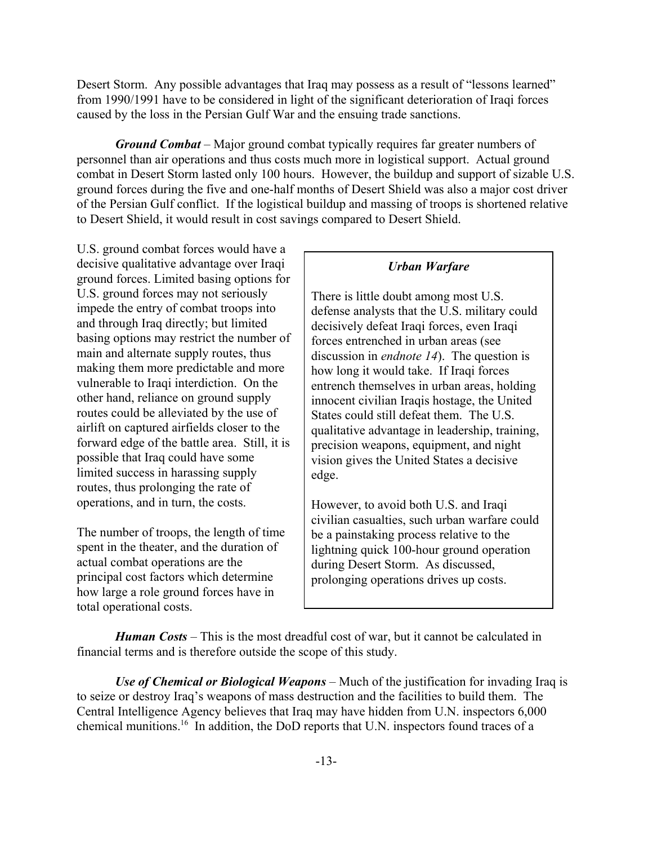Desert Storm. Any possible advantages that Iraq may possess as a result of "lessons learned" from 1990/1991 have to be considered in light of the significant deterioration of Iraqi forces caused by the loss in the Persian Gulf War and the ensuing trade sanctions.

*Ground Combat* – Major ground combat typically requires far greater numbers of personnel than air operations and thus costs much more in logistical support. Actual ground combat in Desert Storm lasted only 100 hours. However, the buildup and support of sizable U.S. ground forces during the five and one-half months of Desert Shield was also a major cost driver of the Persian Gulf conflict. If the logistical buildup and massing of troops is shortened relative to Desert Shield, it would result in cost savings compared to Desert Shield.

U.S. ground combat forces would have a decisive qualitative advantage over Iraqi ground forces. Limited basing options for U.S. ground forces may not seriously impede the entry of combat troops into and through Iraq directly; but limited basing options may restrict the number of main and alternate supply routes, thus making them more predictable and more vulnerable to Iraqi interdiction. On the other hand, reliance on ground supply routes could be alleviated by the use of airlift on captured airfields closer to the forward edge of the battle area. Still, it is possible that Iraq could have some limited success in harassing supply routes, thus prolonging the rate of operations, and in turn, the costs.

The number of troops, the length of time spent in the theater, and the duration of actual combat operations are the principal cost factors which determine how large a role ground forces have in total operational costs.

#### *Urban Warfare*

There is little doubt among most U.S. defense analysts that the U.S. military could decisively defeat Iraqi forces, even Iraqi forces entrenched in urban areas (see discussion in *endnote 14*). The question is how long it would take. If Iraqi forces entrench themselves in urban areas, holding innocent civilian Iraqis hostage, the United States could still defeat them. The U.S. qualitative advantage in leadership, training, precision weapons, equipment, and night vision gives the United States a decisive edge.

However, to avoid both U.S. and Iraqi civilian casualties, such urban warfare could be a painstaking process relative to the lightning quick 100-hour ground operation during Desert Storm. As discussed, prolonging operations drives up costs.

*Human Costs* – This is the most dreadful cost of war, but it cannot be calculated in financial terms and is therefore outside the scope of this study.

*Use of Chemical or Biological Weapons* – Much of the justification for invading Iraq is to seize or destroy Iraq's weapons of mass destruction and the facilities to build them. The Central Intelligence Agency believes that Iraq may have hidden from U.N. inspectors 6,000 chemical munitions.16 In addition, the DoD reports that U.N. inspectors found traces of a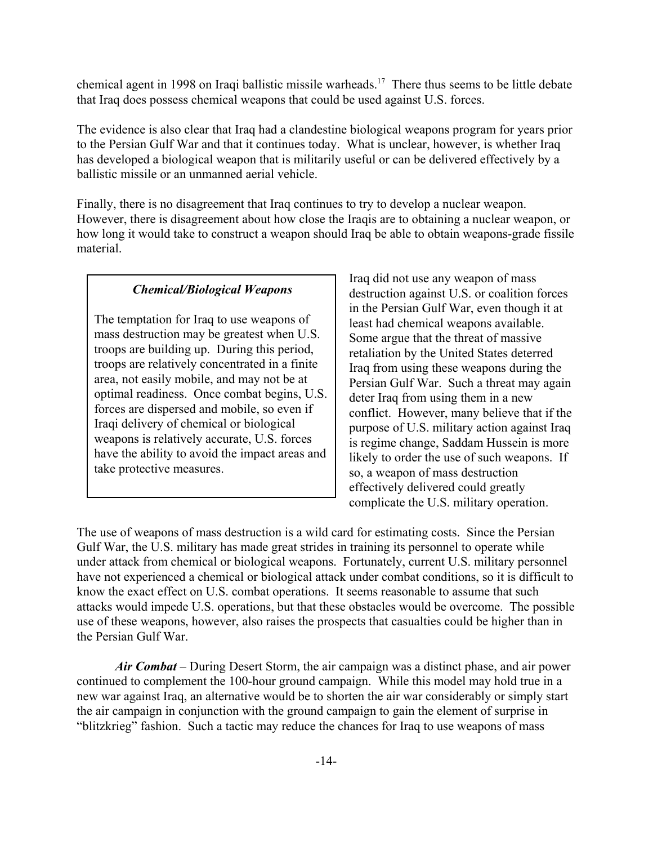chemical agent in 1998 on Iraqi ballistic missile warheads.17 There thus seems to be little debate that Iraq does possess chemical weapons that could be used against U.S. forces.

The evidence is also clear that Iraq had a clandestine biological weapons program for years prior to the Persian Gulf War and that it continues today. What is unclear, however, is whether Iraq has developed a biological weapon that is militarily useful or can be delivered effectively by a ballistic missile or an unmanned aerial vehicle.

Finally, there is no disagreement that Iraq continues to try to develop a nuclear weapon. However, there is disagreement about how close the Iraqis are to obtaining a nuclear weapon, or how long it would take to construct a weapon should Iraq be able to obtain weapons-grade fissile material.

### *Chemical/Biological Weapons*

The temptation for Iraq to use weapons of mass destruction may be greatest when U.S. troops are building up. During this period, troops are relatively concentrated in a finite area, not easily mobile, and may not be at optimal readiness. Once combat begins, U.S. forces are dispersed and mobile, so even if Iraqi delivery of chemical or biological weapons is relatively accurate, U.S. forces have the ability to avoid the impact areas and take protective measures.

Iraq did not use any weapon of mass destruction against U.S. or coalition forces in the Persian Gulf War, even though it at least had chemical weapons available. Some argue that the threat of massive retaliation by the United States deterred Iraq from using these weapons during the Persian Gulf War. Such a threat may again deter Iraq from using them in a new conflict. However, many believe that if the purpose of U.S. military action against Iraq is regime change, Saddam Hussein is more likely to order the use of such weapons. If so, a weapon of mass destruction effectively delivered could greatly complicate the U.S. military operation.

The use of weapons of mass destruction is a wild card for estimating costs. Since the Persian Gulf War, the U.S. military has made great strides in training its personnel to operate while under attack from chemical or biological weapons. Fortunately, current U.S. military personnel have not experienced a chemical or biological attack under combat conditions, so it is difficult to know the exact effect on U.S. combat operations. It seems reasonable to assume that such attacks would impede U.S. operations, but that these obstacles would be overcome. The possible use of these weapons, however, also raises the prospects that casualties could be higher than in the Persian Gulf War.

*Air Combat* – During Desert Storm, the air campaign was a distinct phase, and air power continued to complement the 100-hour ground campaign. While this model may hold true in a new war against Iraq, an alternative would be to shorten the air war considerably or simply start the air campaign in conjunction with the ground campaign to gain the element of surprise in "blitzkrieg" fashion. Such a tactic may reduce the chances for Iraq to use weapons of mass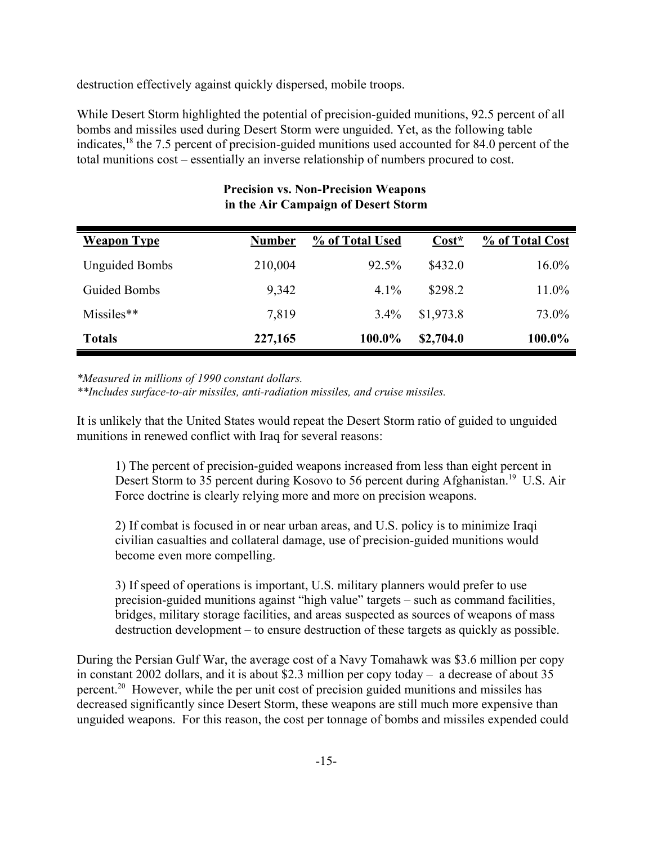destruction effectively against quickly dispersed, mobile troops.

While Desert Storm highlighted the potential of precision-guided munitions, 92.5 percent of all bombs and missiles used during Desert Storm were unguided. Yet, as the following table indicates,18 the 7.5 percent of precision-guided munitions used accounted for 84.0 percent of the total munitions cost – essentially an inverse relationship of numbers procured to cost.

| <b>Weapon Type</b>    | <b>Number</b> | % of Total Used | $Cost*$   | % of Total Cost |
|-----------------------|---------------|-----------------|-----------|-----------------|
| <b>Unguided Bombs</b> | 210,004       | 92.5%           | \$432.0   | $16.0\%$        |
| Guided Bombs          | 9,342         | $4.1\%$         | \$298.2   | 11.0%           |
| Missiles**            | 7,819         | $3.4\%$         | \$1,973.8 | 73.0%           |
| <b>Totals</b>         | 227,165       | 100.0%          | \$2,704.0 | 100.0%          |

## **Precision vs. Non-Precision Weapons in the Air Campaign of Desert Storm**

*\*Measured in millions of 1990 constant dollars.*

*\*\*Includes surface-to-air missiles, anti-radiation missiles, and cruise missiles.*

It is unlikely that the United States would repeat the Desert Storm ratio of guided to unguided munitions in renewed conflict with Iraq for several reasons:

1) The percent of precision-guided weapons increased from less than eight percent in Desert Storm to 35 percent during Kosovo to 56 percent during Afghanistan.<sup>19</sup> U.S. Air Force doctrine is clearly relying more and more on precision weapons.

2) If combat is focused in or near urban areas, and U.S. policy is to minimize Iraqi civilian casualties and collateral damage, use of precision-guided munitions would become even more compelling.

3) If speed of operations is important, U.S. military planners would prefer to use precision-guided munitions against "high value" targets – such as command facilities, bridges, military storage facilities, and areas suspected as sources of weapons of mass destruction development – to ensure destruction of these targets as quickly as possible.

During the Persian Gulf War, the average cost of a Navy Tomahawk was \$3.6 million per copy in constant 2002 dollars, and it is about \$2.3 million per copy today – a decrease of about 35 percent.20 However, while the per unit cost of precision guided munitions and missiles has decreased significantly since Desert Storm, these weapons are still much more expensive than unguided weapons. For this reason, the cost per tonnage of bombs and missiles expended could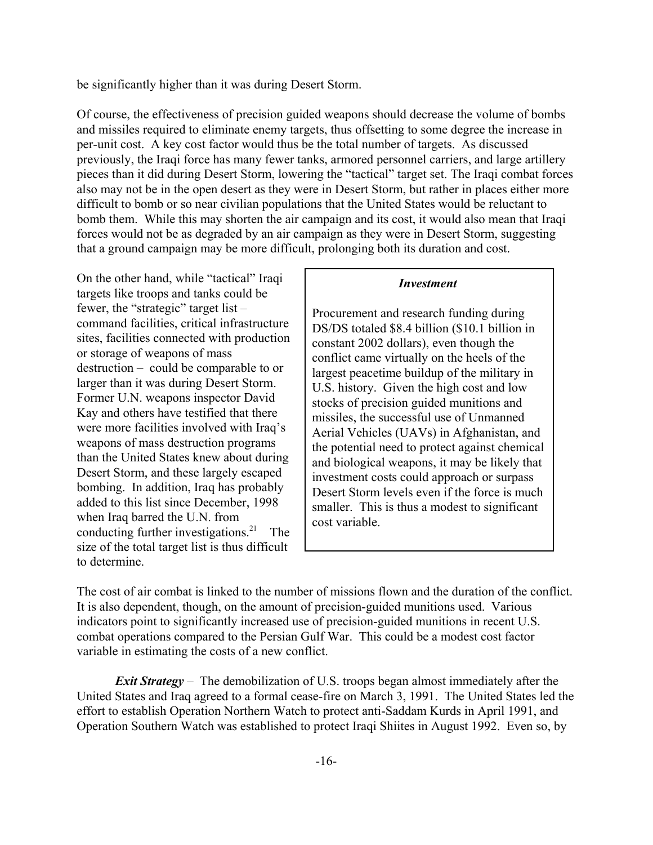be significantly higher than it was during Desert Storm.

Of course, the effectiveness of precision guided weapons should decrease the volume of bombs and missiles required to eliminate enemy targets, thus offsetting to some degree the increase in per-unit cost. A key cost factor would thus be the total number of targets. As discussed previously, the Iraqi force has many fewer tanks, armored personnel carriers, and large artillery pieces than it did during Desert Storm, lowering the "tactical" target set. The Iraqi combat forces also may not be in the open desert as they were in Desert Storm, but rather in places either more difficult to bomb or so near civilian populations that the United States would be reluctant to bomb them. While this may shorten the air campaign and its cost, it would also mean that Iraqi forces would not be as degraded by an air campaign as they were in Desert Storm, suggesting that a ground campaign may be more difficult, prolonging both its duration and cost.

On the other hand, while "tactical" Iraqi targets like troops and tanks could be fewer, the "strategic" target list – command facilities, critical infrastructure sites, facilities connected with production or storage of weapons of mass destruction – could be comparable to or larger than it was during Desert Storm. Former U.N. weapons inspector David Kay and others have testified that there were more facilities involved with Iraq's weapons of mass destruction programs than the United States knew about during Desert Storm, and these largely escaped bombing. In addition, Iraq has probably added to this list since December, 1998 when Iraq barred the U.N. from conducting further investigations. $21$  The size of the total target list is thus difficult to determine.

#### *Investment*

Procurement and research funding during DS/DS totaled \$8.4 billion (\$10.1 billion in constant 2002 dollars), even though the conflict came virtually on the heels of the largest peacetime buildup of the military in U.S. history. Given the high cost and low stocks of precision guided munitions and missiles, the successful use of Unmanned Aerial Vehicles (UAVs) in Afghanistan, and the potential need to protect against chemical and biological weapons, it may be likely that investment costs could approach or surpass Desert Storm levels even if the force is much smaller. This is thus a modest to significant cost variable.

The cost of air combat is linked to the number of missions flown and the duration of the conflict. It is also dependent, though, on the amount of precision-guided munitions used. Various indicators point to significantly increased use of precision-guided munitions in recent U.S. combat operations compared to the Persian Gulf War. This could be a modest cost factor variable in estimating the costs of a new conflict.

*Exit Strategy* – The demobilization of U.S. troops began almost immediately after the United States and Iraq agreed to a formal cease-fire on March 3, 1991. The United States led the effort to establish Operation Northern Watch to protect anti-Saddam Kurds in April 1991, and Operation Southern Watch was established to protect Iraqi Shiites in August 1992. Even so, by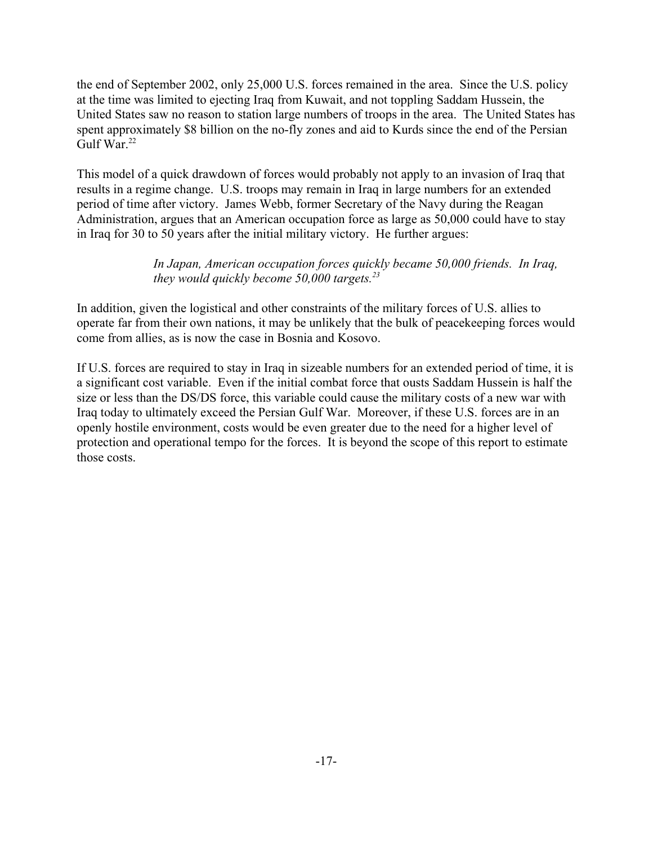the end of September 2002, only 25,000 U.S. forces remained in the area. Since the U.S. policy at the time was limited to ejecting Iraq from Kuwait, and not toppling Saddam Hussein, the United States saw no reason to station large numbers of troops in the area. The United States has spent approximately \$8 billion on the no-fly zones and aid to Kurds since the end of the Persian Gulf War. $22$ 

This model of a quick drawdown of forces would probably not apply to an invasion of Iraq that results in a regime change. U.S. troops may remain in Iraq in large numbers for an extended period of time after victory. James Webb, former Secretary of the Navy during the Reagan Administration, argues that an American occupation force as large as 50,000 could have to stay in Iraq for 30 to 50 years after the initial military victory. He further argues:

## *In Japan, American occupation forces quickly became 50,000 friends. In Iraq, they would quickly become 50,000 targets.23*

In addition, given the logistical and other constraints of the military forces of U.S. allies to operate far from their own nations, it may be unlikely that the bulk of peacekeeping forces would come from allies, as is now the case in Bosnia and Kosovo.

If U.S. forces are required to stay in Iraq in sizeable numbers for an extended period of time, it is a significant cost variable. Even if the initial combat force that ousts Saddam Hussein is half the size or less than the DS/DS force, this variable could cause the military costs of a new war with Iraq today to ultimately exceed the Persian Gulf War. Moreover, if these U.S. forces are in an openly hostile environment, costs would be even greater due to the need for a higher level of protection and operational tempo for the forces. It is beyond the scope of this report to estimate those costs.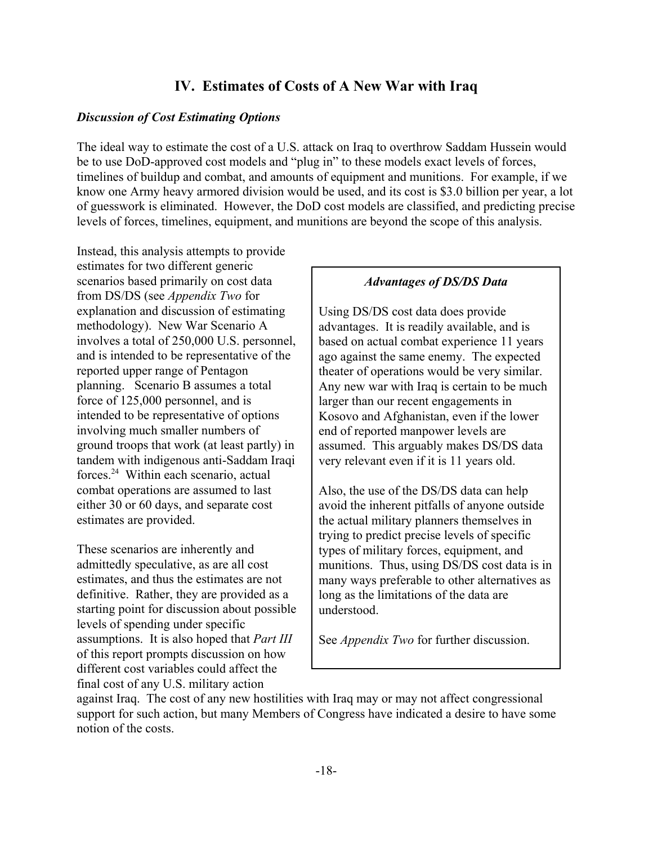## **IV. Estimates of Costs of A New War with Iraq**

#### *Discussion of Cost Estimating Options*

The ideal way to estimate the cost of a U.S. attack on Iraq to overthrow Saddam Hussein would be to use DoD-approved cost models and "plug in" to these models exact levels of forces, timelines of buildup and combat, and amounts of equipment and munitions. For example, if we know one Army heavy armored division would be used, and its cost is \$3.0 billion per year, a lot of guesswork is eliminated. However, the DoD cost models are classified, and predicting precise levels of forces, timelines, equipment, and munitions are beyond the scope of this analysis.

Instead, this analysis attempts to provide estimates for two different generic scenarios based primarily on cost data from DS/DS (see *Appendix Two* for explanation and discussion of estimating methodology). New War Scenario A involves a total of 250,000 U.S. personnel, and is intended to be representative of the reported upper range of Pentagon planning. Scenario B assumes a total force of 125,000 personnel, and is intended to be representative of options involving much smaller numbers of ground troops that work (at least partly) in tandem with indigenous anti-Saddam Iraqi forces.24 Within each scenario, actual combat operations are assumed to last either 30 or 60 days, and separate cost estimates are provided.

These scenarios are inherently and admittedly speculative, as are all cost estimates, and thus the estimates are not definitive. Rather, they are provided as a starting point for discussion about possible levels of spending under specific assumptions. It is also hoped that *Part III* of this report prompts discussion on how different cost variables could affect the final cost of any U.S. military action

#### *Advantages of DS/DS Data*

Using DS/DS cost data does provide advantages. It is readily available, and is based on actual combat experience 11 years ago against the same enemy. The expected theater of operations would be very similar. Any new war with Iraq is certain to be much larger than our recent engagements in Kosovo and Afghanistan, even if the lower end of reported manpower levels are assumed. This arguably makes DS/DS data very relevant even if it is 11 years old.

Also, the use of the DS/DS data can help avoid the inherent pitfalls of anyone outside the actual military planners themselves in trying to predict precise levels of specific types of military forces, equipment, and munitions. Thus, using DS/DS cost data is in many ways preferable to other alternatives as long as the limitations of the data are understood.

See *Appendix Two* for further discussion.

against Iraq. The cost of any new hostilities with Iraq may or may not affect congressional support for such action, but many Members of Congress have indicated a desire to have some notion of the costs.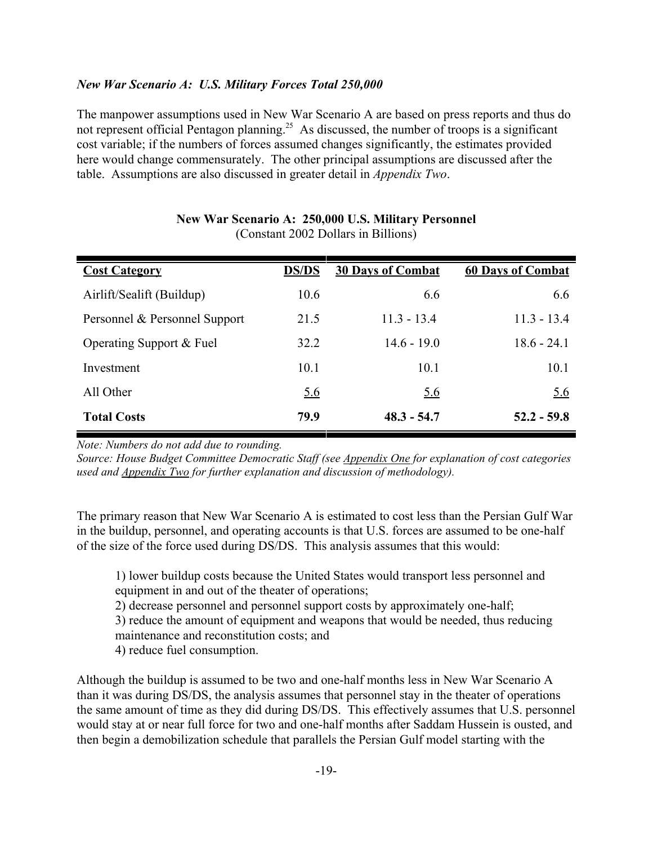## *New War Scenario A: U.S. Military Forces Total 250,000*

The manpower assumptions used in New War Scenario A are based on press reports and thus do not represent official Pentagon planning.<sup>25</sup> As discussed, the number of troops is a significant cost variable; if the numbers of forces assumed changes significantly, the estimates provided here would change commensurately. The other principal assumptions are discussed after the table. Assumptions are also discussed in greater detail in *Appendix Two*.

| <b>Cost Category</b>          | <b>DS/DS</b> | <b>30 Days of Combat</b> | <b>60 Days of Combat</b> |
|-------------------------------|--------------|--------------------------|--------------------------|
| Airlift/Sealift (Buildup)     | 10.6         | 6.6                      | 6.6                      |
| Personnel & Personnel Support | 21.5         | $11.3 - 13.4$            | $11.3 - 13.4$            |
| Operating Support & Fuel      | 32.2         | $14.6 - 19.0$            | $18.6 - 24.1$            |
| Investment                    | 10.1         | 10.1                     | 10.1                     |
| All Other                     | <u>5.6</u>   | <u>5.6</u>               | <u>5.6</u>               |
| <b>Total Costs</b>            | 79.9         | $48.3 - 54.7$            | $52.2 - 59.8$            |

#### **New War Scenario A: 250,000 U.S. Military Personnel** (Constant 2002 Dollars in Billions)

*Note: Numbers do not add due to rounding.*

*Source: House Budget Committee Democratic Staff (see Appendix One for explanation of cost categories used and Appendix Two for further explanation and discussion of methodology).*

The primary reason that New War Scenario A is estimated to cost less than the Persian Gulf War in the buildup, personnel, and operating accounts is that U.S. forces are assumed to be one-half of the size of the force used during DS/DS. This analysis assumes that this would:

1) lower buildup costs because the United States would transport less personnel and equipment in and out of the theater of operations;

2) decrease personnel and personnel support costs by approximately one-half;

3) reduce the amount of equipment and weapons that would be needed, thus reducing maintenance and reconstitution costs; and

4) reduce fuel consumption.

Although the buildup is assumed to be two and one-half months less in New War Scenario A than it was during DS/DS, the analysis assumes that personnel stay in the theater of operations the same amount of time as they did during DS/DS. This effectively assumes that U.S. personnel would stay at or near full force for two and one-half months after Saddam Hussein is ousted, and then begin a demobilization schedule that parallels the Persian Gulf model starting with the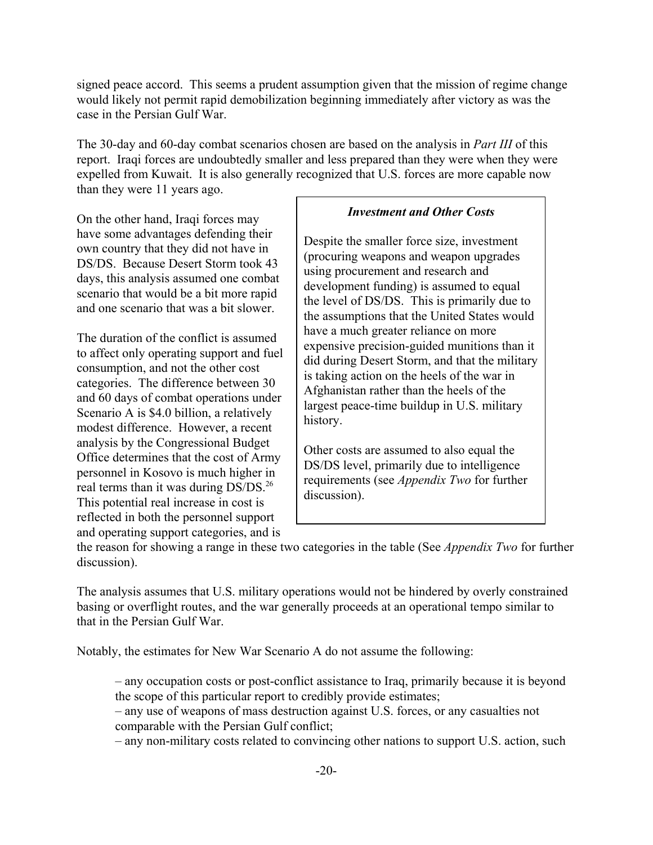signed peace accord. This seems a prudent assumption given that the mission of regime change would likely not permit rapid demobilization beginning immediately after victory as was the case in the Persian Gulf War.

The 30-day and 60-day combat scenarios chosen are based on the analysis in *Part III* of this report. Iraqi forces are undoubtedly smaller and less prepared than they were when they were expelled from Kuwait. It is also generally recognized that U.S. forces are more capable now than they were 11 years ago.

On the other hand, Iraqi forces may have some advantages defending their own country that they did not have in DS/DS. Because Desert Storm took 43 days, this analysis assumed one combat scenario that would be a bit more rapid and one scenario that was a bit slower.

The duration of the conflict is assumed to affect only operating support and fuel consumption, and not the other cost categories. The difference between 30 and 60 days of combat operations under Scenario A is \$4.0 billion, a relatively modest difference. However, a recent analysis by the Congressional Budget Office determines that the cost of Army personnel in Kosovo is much higher in real terms than it was during DS/DS.<sup>26</sup> This potential real increase in cost is reflected in both the personnel support and operating support categories, and is

### *Investment and Other Costs*

Despite the smaller force size, investment (procuring weapons and weapon upgrades using procurement and research and development funding) is assumed to equal the level of DS/DS. This is primarily due to the assumptions that the United States would have a much greater reliance on more expensive precision-guided munitions than it did during Desert Storm, and that the military is taking action on the heels of the war in Afghanistan rather than the heels of the largest peace-time buildup in U.S. military history.

Other costs are assumed to also equal the DS/DS level, primarily due to intelligence requirements (see *Appendix Two* for further discussion).

the reason for showing a range in these two categories in the table (See *Appendix Two* for further discussion).

The analysis assumes that U.S. military operations would not be hindered by overly constrained basing or overflight routes, and the war generally proceeds at an operational tempo similar to that in the Persian Gulf War.

Notably, the estimates for New War Scenario A do not assume the following:

– any occupation costs or post-conflict assistance to Iraq, primarily because it is beyond the scope of this particular report to credibly provide estimates;

– any use of weapons of mass destruction against U.S. forces, or any casualties not comparable with the Persian Gulf conflict;

– any non-military costs related to convincing other nations to support U.S. action, such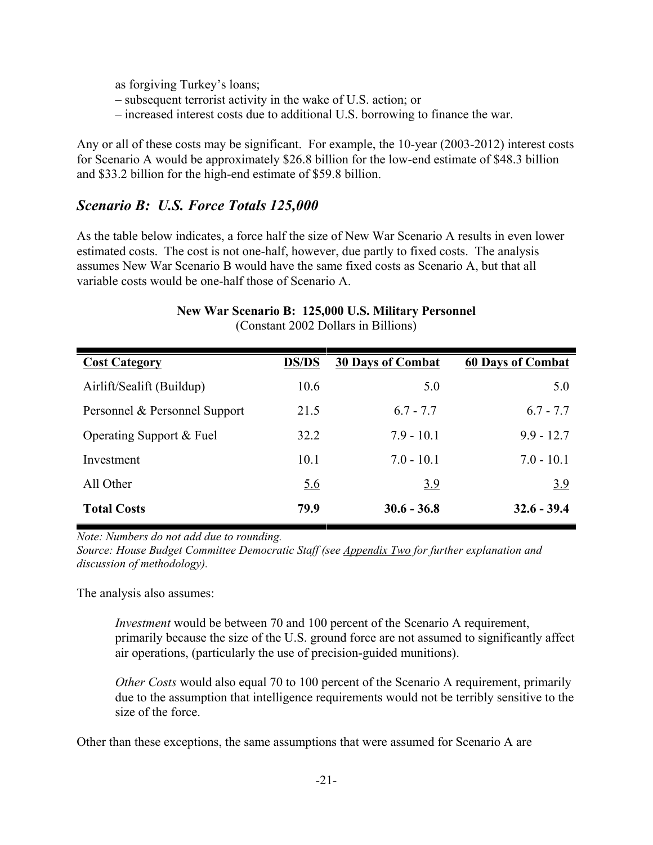as forgiving Turkey's loans;

- subsequent terrorist activity in the wake of U.S. action; or
- increased interest costs due to additional U.S. borrowing to finance the war.

Any or all of these costs may be significant. For example, the 10-year (2003-2012) interest costs for Scenario A would be approximately \$26.8 billion for the low-end estimate of \$48.3 billion and \$33.2 billion for the high-end estimate of \$59.8 billion.

## *Scenario B: U.S. Force Totals 125,000*

As the table below indicates, a force half the size of New War Scenario A results in even lower estimated costs. The cost is not one-half, however, due partly to fixed costs. The analysis assumes New War Scenario B would have the same fixed costs as Scenario A, but that all variable costs would be one-half those of Scenario A.

| <b>Cost Category</b>          | <b>DS/DS</b> | <b>30 Days of Combat</b> | <b>60 Days of Combat</b> |
|-------------------------------|--------------|--------------------------|--------------------------|
| Airlift/Sealift (Buildup)     | 10.6         | 5.0                      | 5.0                      |
| Personnel & Personnel Support | 21.5         | $6.7 - 7.7$              | $6.7 - 7.7$              |
| Operating Support & Fuel      | 32.2         | $7.9 - 10.1$             | $9.9 - 12.7$             |
| Investment                    | 10.1         | $7.0 - 10.1$             | $7.0 - 10.1$             |
| All Other                     | <u>5.6</u>   | 3.9                      | <u>3.9</u>               |
| <b>Total Costs</b>            | 79.9         | $30.6 - 36.8$            | $32.6 - 39.4$            |

#### **New War Scenario B: 125,000 U.S. Military Personnel** (Constant 2002 Dollars in Billions)

*Note: Numbers do not add due to rounding.*

*Source: House Budget Committee Democratic Staff (see Appendix Two for further explanation and discussion of methodology).*

The analysis also assumes:

*Investment* would be between 70 and 100 percent of the Scenario A requirement, primarily because the size of the U.S. ground force are not assumed to significantly affect air operations, (particularly the use of precision-guided munitions).

*Other Costs* would also equal 70 to 100 percent of the Scenario A requirement, primarily due to the assumption that intelligence requirements would not be terribly sensitive to the size of the force.

Other than these exceptions, the same assumptions that were assumed for Scenario A are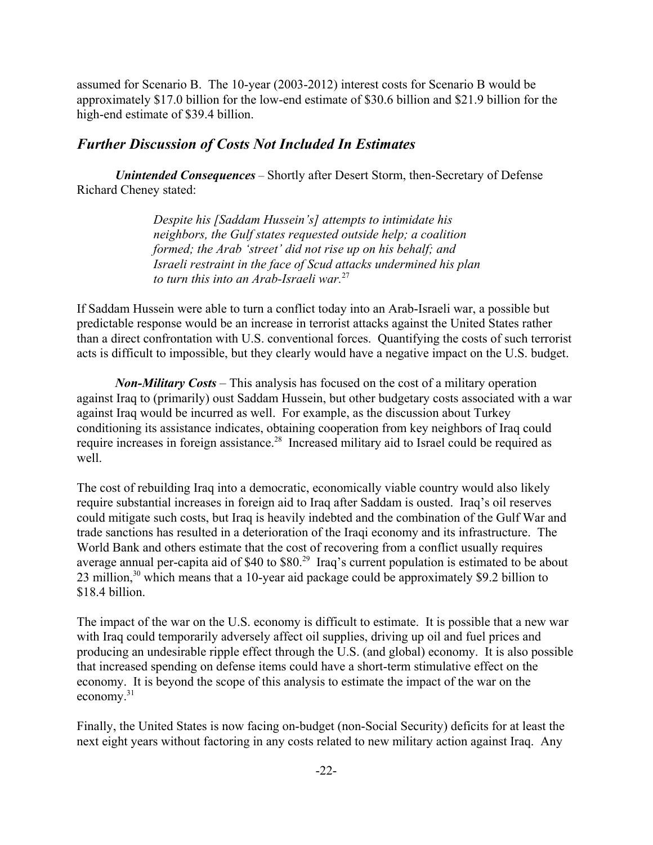assumed for Scenario B. The 10-year (2003-2012) interest costs for Scenario B would be approximately \$17.0 billion for the low-end estimate of \$30.6 billion and \$21.9 billion for the high-end estimate of \$39.4 billion.

### *Further Discussion of Costs Not Included In Estimates*

*Unintended Consequences –* Shortly after Desert Storm, then-Secretary of Defense Richard Cheney stated:

> *Despite his [Saddam Hussein's] attempts to intimidate his neighbors, the Gulf states requested outside help; a coalition formed; the Arab 'street' did not rise up on his behalf; and Israeli restraint in the face of Scud attacks undermined his plan to turn this into an Arab-Israeli war.*27

If Saddam Hussein were able to turn a conflict today into an Arab-Israeli war, a possible but predictable response would be an increase in terrorist attacks against the United States rather than a direct confrontation with U.S. conventional forces. Quantifying the costs of such terrorist acts is difficult to impossible, but they clearly would have a negative impact on the U.S. budget.

*Non-Military Costs* – This analysis has focused on the cost of a military operation against Iraq to (primarily) oust Saddam Hussein, but other budgetary costs associated with a war against Iraq would be incurred as well. For example, as the discussion about Turkey conditioning its assistance indicates, obtaining cooperation from key neighbors of Iraq could require increases in foreign assistance.28 Increased military aid to Israel could be required as well.

The cost of rebuilding Iraq into a democratic, economically viable country would also likely require substantial increases in foreign aid to Iraq after Saddam is ousted. Iraq's oil reserves could mitigate such costs, but Iraq is heavily indebted and the combination of the Gulf War and trade sanctions has resulted in a deterioration of the Iraqi economy and its infrastructure. The World Bank and others estimate that the cost of recovering from a conflict usually requires average annual per-capita aid of \$40 to \$80.<sup>29</sup> Iraq's current population is estimated to be about 23 million, $30$  which means that a 10-year aid package could be approximately \$9.2 billion to \$18.4 billion.

The impact of the war on the U.S. economy is difficult to estimate. It is possible that a new war with Iraq could temporarily adversely affect oil supplies, driving up oil and fuel prices and producing an undesirable ripple effect through the U.S. (and global) economy. It is also possible that increased spending on defense items could have a short-term stimulative effect on the economy. It is beyond the scope of this analysis to estimate the impact of the war on the economy.31

Finally, the United States is now facing on-budget (non-Social Security) deficits for at least the next eight years without factoring in any costs related to new military action against Iraq. Any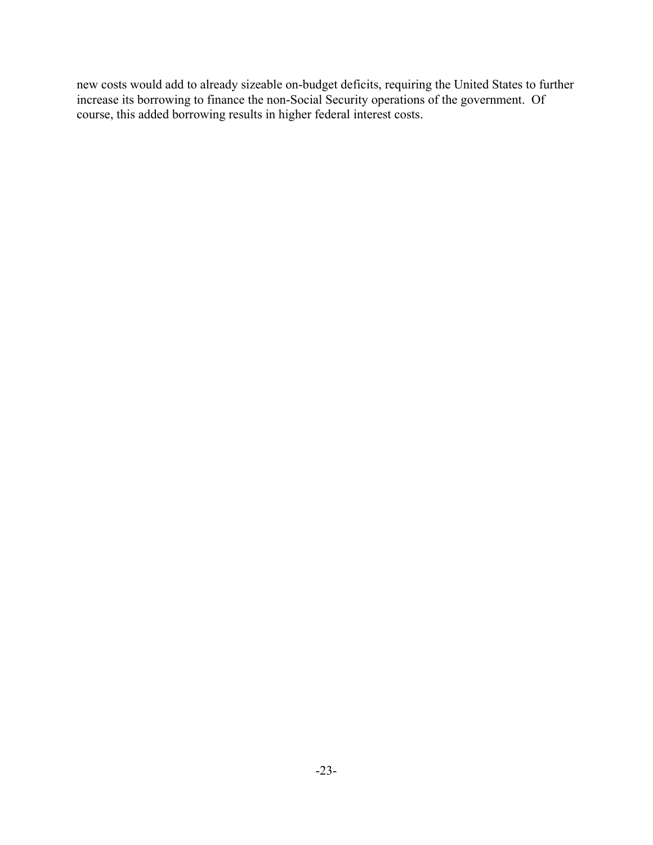new costs would add to already sizeable on-budget deficits, requiring the United States to further increase its borrowing to finance the non-Social Security operations of the government. Of course, this added borrowing results in higher federal interest costs.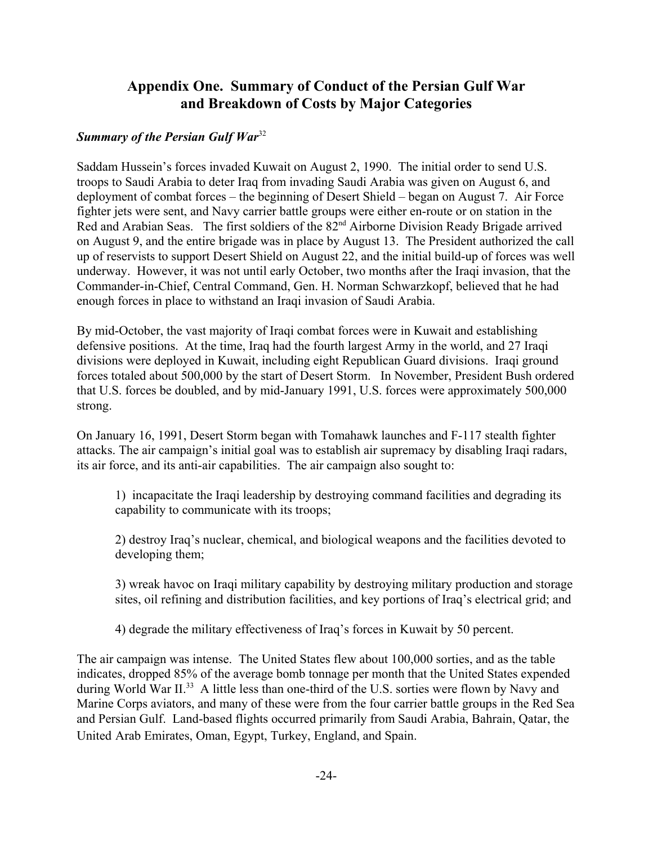## **Appendix One. Summary of Conduct of the Persian Gulf War and Breakdown of Costs by Major Categories**

## *Summary of the Persian Gulf War*<sup>32</sup>

Saddam Hussein's forces invaded Kuwait on August 2, 1990. The initial order to send U.S. troops to Saudi Arabia to deter Iraq from invading Saudi Arabia was given on August 6, and deployment of combat forces – the beginning of Desert Shield – began on August 7. Air Force fighter jets were sent, and Navy carrier battle groups were either en-route or on station in the Red and Arabian Seas. The first soldiers of the 82<sup>nd</sup> Airborne Division Ready Brigade arrived on August 9, and the entire brigade was in place by August 13. The President authorized the call up of reservists to support Desert Shield on August 22, and the initial build-up of forces was well underway. However, it was not until early October, two months after the Iraqi invasion, that the Commander-in-Chief, Central Command, Gen. H. Norman Schwarzkopf, believed that he had enough forces in place to withstand an Iraqi invasion of Saudi Arabia.

By mid-October, the vast majority of Iraqi combat forces were in Kuwait and establishing defensive positions. At the time, Iraq had the fourth largest Army in the world, and 27 Iraqi divisions were deployed in Kuwait, including eight Republican Guard divisions. Iraqi ground forces totaled about 500,000 by the start of Desert Storm. In November, President Bush ordered that U.S. forces be doubled, and by mid-January 1991, U.S. forces were approximately 500,000 strong.

On January 16, 1991, Desert Storm began with Tomahawk launches and F-117 stealth fighter attacks. The air campaign's initial goal was to establish air supremacy by disabling Iraqi radars, its air force, and its anti-air capabilities. The air campaign also sought to:

1) incapacitate the Iraqi leadership by destroying command facilities and degrading its capability to communicate with its troops;

2) destroy Iraq's nuclear, chemical, and biological weapons and the facilities devoted to developing them;

3) wreak havoc on Iraqi military capability by destroying military production and storage sites, oil refining and distribution facilities, and key portions of Iraq's electrical grid; and

4) degrade the military effectiveness of Iraq's forces in Kuwait by 50 percent.

The air campaign was intense. The United States flew about 100,000 sorties, and as the table indicates, dropped 85% of the average bomb tonnage per month that the United States expended during World War II.<sup>33</sup> A little less than one-third of the U.S. sorties were flown by Navy and Marine Corps aviators, and many of these were from the four carrier battle groups in the Red Sea and Persian Gulf. Land-based flights occurred primarily from Saudi Arabia, Bahrain, Qatar, the United Arab Emirates, Oman, Egypt, Turkey, England, and Spain.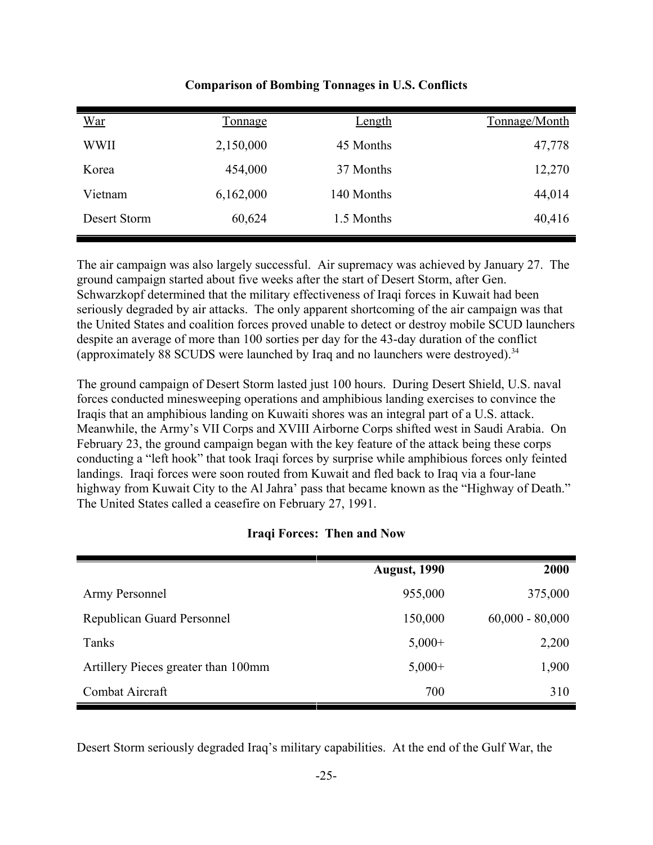| <u>War</u>   | <b>Tonnage</b> | <u>Length</u> | Tonnage/Month |
|--------------|----------------|---------------|---------------|
| <b>WWII</b>  | 2,150,000      | 45 Months     | 47,778        |
| Korea        | 454,000        | 37 Months     | 12,270        |
| Vietnam      | 6,162,000      | 140 Months    | 44,014        |
| Desert Storm | 60,624         | 1.5 Months    | 40,416        |

**Comparison of Bombing Tonnages in U.S. Conflicts**

The air campaign was also largely successful. Air supremacy was achieved by January 27. The ground campaign started about five weeks after the start of Desert Storm, after Gen. Schwarzkopf determined that the military effectiveness of Iraqi forces in Kuwait had been seriously degraded by air attacks. The only apparent shortcoming of the air campaign was that the United States and coalition forces proved unable to detect or destroy mobile SCUD launchers despite an average of more than 100 sorties per day for the 43-day duration of the conflict (approximately 88 SCUDS were launched by Iraq and no launchers were destroyed).<sup>34</sup>

The ground campaign of Desert Storm lasted just 100 hours. During Desert Shield, U.S. naval forces conducted minesweeping operations and amphibious landing exercises to convince the Iraqis that an amphibious landing on Kuwaiti shores was an integral part of a U.S. attack. Meanwhile, the Army's VII Corps and XVIII Airborne Corps shifted west in Saudi Arabia. On February 23, the ground campaign began with the key feature of the attack being these corps conducting a "left hook" that took Iraqi forces by surprise while amphibious forces only feinted landings. Iraqi forces were soon routed from Kuwait and fled back to Iraq via a four-lane highway from Kuwait City to the Al Jahra' pass that became known as the "Highway of Death." The United States called a ceasefire on February 27, 1991.

#### **Iraqi Forces: Then and Now**

|                                     | <b>August, 1990</b> | 2000              |
|-------------------------------------|---------------------|-------------------|
| Army Personnel                      | 955,000             | 375,000           |
| <b>Republican Guard Personnel</b>   | 150,000             | $60,000 - 80,000$ |
| Tanks                               | $5,000+$            | 2,200             |
| Artillery Pieces greater than 100mm | $5,000+$            | 1,900             |
| Combat Aircraft                     | 700                 | 310               |

Desert Storm seriously degraded Iraq's military capabilities. At the end of the Gulf War, the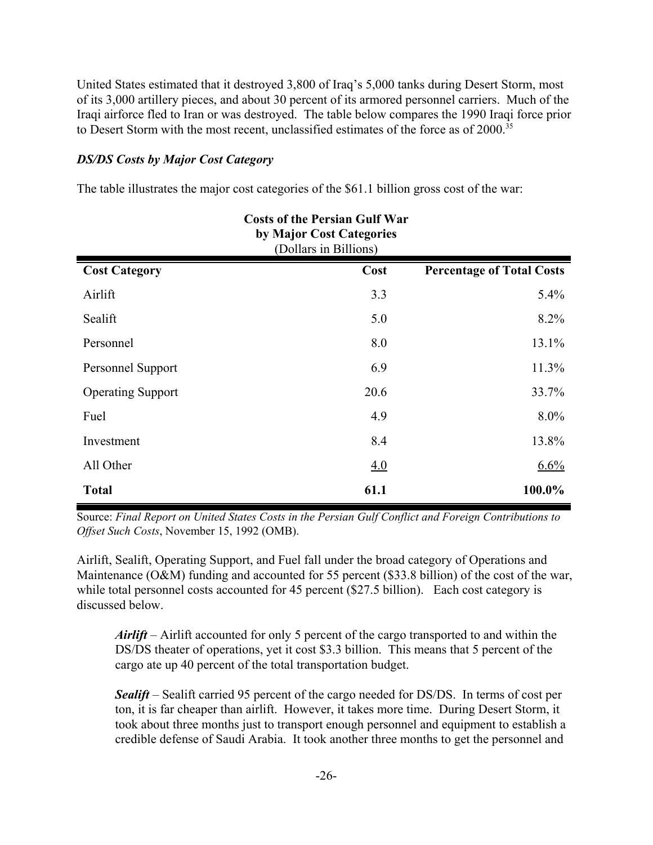United States estimated that it destroyed 3,800 of Iraq's 5,000 tanks during Desert Storm, most of its 3,000 artillery pieces, and about 30 percent of its armored personnel carriers. Much of the Iraqi airforce fled to Iran or was destroyed. The table below compares the 1990 Iraqi force prior to Desert Storm with the most recent, unclassified estimates of the force as of 2000.<sup>35</sup>

### *DS/DS Costs by Major Cost Category*

The table illustrates the major cost categories of the \$61.1 billion gross cost of the war:

|                          | <b>Costs of the Persian Gulf War</b><br>by Major Cost Categories<br>(Dollars in Billions) |                                  |
|--------------------------|-------------------------------------------------------------------------------------------|----------------------------------|
| <b>Cost Category</b>     | Cost                                                                                      | <b>Percentage of Total Costs</b> |
| Airlift                  | 3.3                                                                                       | 5.4%                             |
| Sealift                  | 5.0                                                                                       | $8.2\%$                          |
| Personnel                | 8.0                                                                                       | 13.1%                            |
| Personnel Support        | 6.9                                                                                       | 11.3%                            |
| <b>Operating Support</b> | 20.6                                                                                      | 33.7%                            |
| Fuel                     | 4.9                                                                                       | $8.0\%$                          |
| Investment               | 8.4                                                                                       | 13.8%                            |
| All Other                | 4.0                                                                                       | 6.6%                             |
| <b>Total</b>             | 61.1                                                                                      | 100.0%                           |

Source: *Final Report on United States Costs in the Persian Gulf Conflict and Foreign Contributions to Offset Such Costs*, November 15, 1992 (OMB).

Airlift, Sealift, Operating Support, and Fuel fall under the broad category of Operations and Maintenance (O&M) funding and accounted for 55 percent (\$33.8 billion) of the cost of the war, while total personnel costs accounted for 45 percent (\$27.5 billion). Each cost category is discussed below.

*Airlift* – Airlift accounted for only 5 percent of the cargo transported to and within the DS/DS theater of operations, yet it cost \$3.3 billion. This means that 5 percent of the cargo ate up 40 percent of the total transportation budget.

*Sealift* – Sealift carried 95 percent of the cargo needed for DS/DS. In terms of cost per ton, it is far cheaper than airlift. However, it takes more time. During Desert Storm, it took about three months just to transport enough personnel and equipment to establish a credible defense of Saudi Arabia. It took another three months to get the personnel and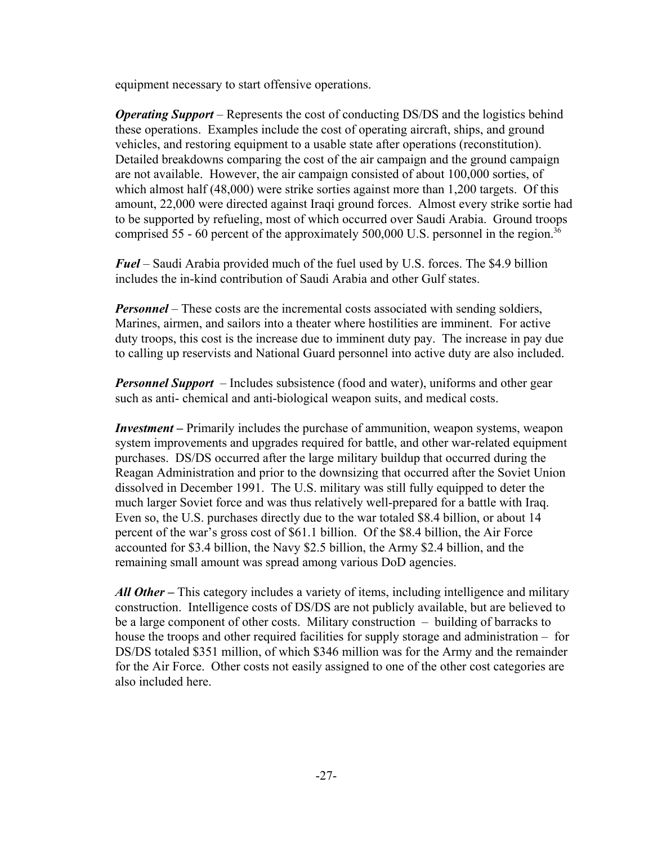equipment necessary to start offensive operations.

*Operating Support* – Represents the cost of conducting DS/DS and the logistics behind these operations. Examples include the cost of operating aircraft, ships, and ground vehicles, and restoring equipment to a usable state after operations (reconstitution). Detailed breakdowns comparing the cost of the air campaign and the ground campaign are not available. However, the air campaign consisted of about 100,000 sorties, of which almost half (48,000) were strike sorties against more than 1,200 targets. Of this amount, 22,000 were directed against Iraqi ground forces. Almost every strike sortie had to be supported by refueling, most of which occurred over Saudi Arabia. Ground troops comprised 55 - 60 percent of the approximately 500,000 U.S. personnel in the region.<sup>36</sup>

*Fuel* – Saudi Arabia provided much of the fuel used by U.S. forces. The \$4.9 billion includes the in-kind contribution of Saudi Arabia and other Gulf states.

*Personnel* – These costs are the incremental costs associated with sending soldiers, Marines, airmen, and sailors into a theater where hostilities are imminent. For active duty troops, this cost is the increase due to imminent duty pay. The increase in pay due to calling up reservists and National Guard personnel into active duty are also included.

*Personnel Support* – Includes subsistence (food and water), uniforms and other gear such as anti- chemical and anti-biological weapon suits, and medical costs.

*Investment –* Primarily includes the purchase of ammunition, weapon systems, weapon system improvements and upgrades required for battle, and other war-related equipment purchases. DS/DS occurred after the large military buildup that occurred during the Reagan Administration and prior to the downsizing that occurred after the Soviet Union dissolved in December 1991. The U.S. military was still fully equipped to deter the much larger Soviet force and was thus relatively well-prepared for a battle with Iraq. Even so, the U.S. purchases directly due to the war totaled \$8.4 billion, or about 14 percent of the war's gross cost of \$61.1 billion. Of the \$8.4 billion, the Air Force accounted for \$3.4 billion, the Navy \$2.5 billion, the Army \$2.4 billion, and the remaining small amount was spread among various DoD agencies.

All Other – This category includes a variety of items, including intelligence and military construction. Intelligence costs of DS/DS are not publicly available, but are believed to be a large component of other costs. Military construction – building of barracks to house the troops and other required facilities for supply storage and administration – for DS/DS totaled \$351 million, of which \$346 million was for the Army and the remainder for the Air Force. Other costs not easily assigned to one of the other cost categories are also included here.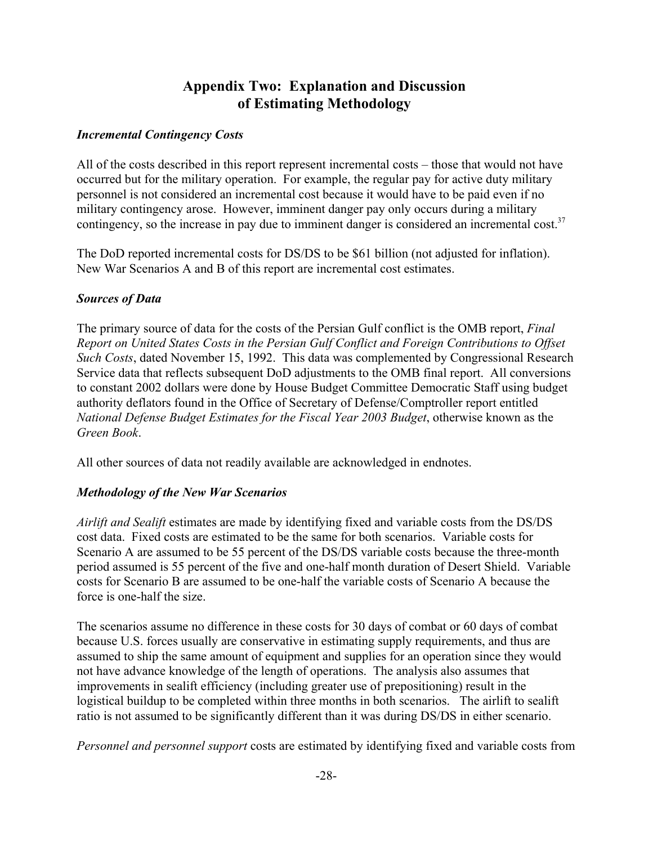## **Appendix Two: Explanation and Discussion of Estimating Methodology**

## *Incremental Contingency Costs*

All of the costs described in this report represent incremental costs – those that would not have occurred but for the military operation. For example, the regular pay for active duty military personnel is not considered an incremental cost because it would have to be paid even if no military contingency arose. However, imminent danger pay only occurs during a military contingency, so the increase in pay due to imminent danger is considered an incremental cost.<sup>37</sup>

The DoD reported incremental costs for DS/DS to be \$61 billion (not adjusted for inflation). New War Scenarios A and B of this report are incremental cost estimates.

## *Sources of Data*

The primary source of data for the costs of the Persian Gulf conflict is the OMB report, *Final Report on United States Costs in the Persian Gulf Conflict and Foreign Contributions to Offset Such Costs*, dated November 15, 1992. This data was complemented by Congressional Research Service data that reflects subsequent DoD adjustments to the OMB final report. All conversions to constant 2002 dollars were done by House Budget Committee Democratic Staff using budget authority deflators found in the Office of Secretary of Defense/Comptroller report entitled *National Defense Budget Estimates for the Fiscal Year 2003 Budget*, otherwise known as the *Green Book*.

All other sources of data not readily available are acknowledged in endnotes.

## *Methodology of the New War Scenarios*

*Airlift and Sealift* estimates are made by identifying fixed and variable costs from the DS/DS cost data. Fixed costs are estimated to be the same for both scenarios. Variable costs for Scenario A are assumed to be 55 percent of the DS/DS variable costs because the three-month period assumed is 55 percent of the five and one-half month duration of Desert Shield. Variable costs for Scenario B are assumed to be one-half the variable costs of Scenario A because the force is one-half the size.

The scenarios assume no difference in these costs for 30 days of combat or 60 days of combat because U.S. forces usually are conservative in estimating supply requirements, and thus are assumed to ship the same amount of equipment and supplies for an operation since they would not have advance knowledge of the length of operations. The analysis also assumes that improvements in sealift efficiency (including greater use of prepositioning) result in the logistical buildup to be completed within three months in both scenarios. The airlift to sealift ratio is not assumed to be significantly different than it was during DS/DS in either scenario.

*Personnel and personnel support* costs are estimated by identifying fixed and variable costs from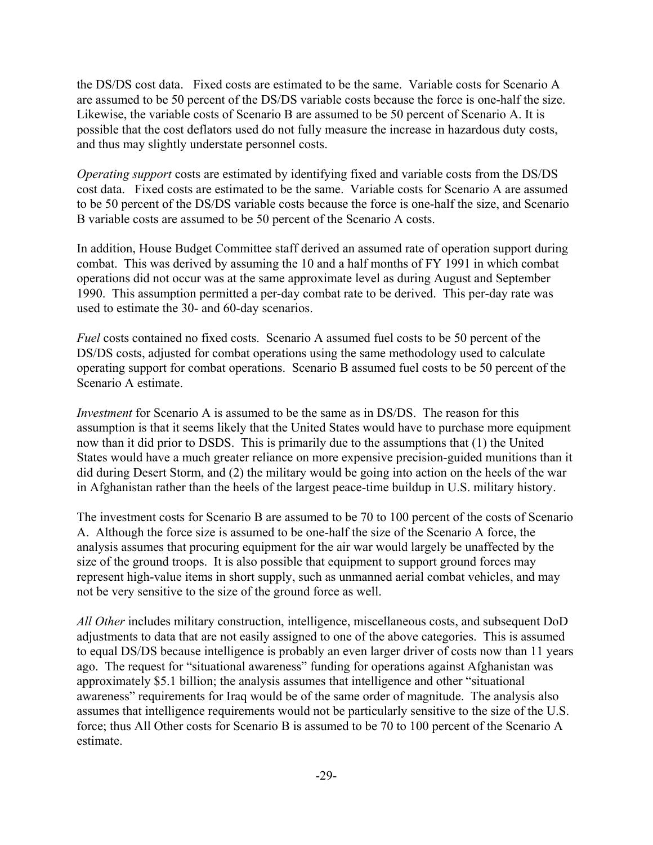the DS/DS cost data. Fixed costs are estimated to be the same. Variable costs for Scenario A are assumed to be 50 percent of the DS/DS variable costs because the force is one-half the size. Likewise, the variable costs of Scenario B are assumed to be 50 percent of Scenario A. It is possible that the cost deflators used do not fully measure the increase in hazardous duty costs, and thus may slightly understate personnel costs.

*Operating support* costs are estimated by identifying fixed and variable costs from the DS/DS cost data. Fixed costs are estimated to be the same. Variable costs for Scenario A are assumed to be 50 percent of the DS/DS variable costs because the force is one-half the size, and Scenario B variable costs are assumed to be 50 percent of the Scenario A costs.

In addition, House Budget Committee staff derived an assumed rate of operation support during combat. This was derived by assuming the 10 and a half months of FY 1991 in which combat operations did not occur was at the same approximate level as during August and September 1990. This assumption permitted a per-day combat rate to be derived. This per-day rate was used to estimate the 30- and 60-day scenarios.

*Fuel* costs contained no fixed costs. Scenario A assumed fuel costs to be 50 percent of the DS/DS costs, adjusted for combat operations using the same methodology used to calculate operating support for combat operations. Scenario B assumed fuel costs to be 50 percent of the Scenario A estimate.

*Investment* for Scenario A is assumed to be the same as in DS/DS. The reason for this assumption is that it seems likely that the United States would have to purchase more equipment now than it did prior to DSDS. This is primarily due to the assumptions that (1) the United States would have a much greater reliance on more expensive precision-guided munitions than it did during Desert Storm, and (2) the military would be going into action on the heels of the war in Afghanistan rather than the heels of the largest peace-time buildup in U.S. military history.

The investment costs for Scenario B are assumed to be 70 to 100 percent of the costs of Scenario A. Although the force size is assumed to be one-half the size of the Scenario A force, the analysis assumes that procuring equipment for the air war would largely be unaffected by the size of the ground troops. It is also possible that equipment to support ground forces may represent high-value items in short supply, such as unmanned aerial combat vehicles, and may not be very sensitive to the size of the ground force as well.

*All Other* includes military construction, intelligence, miscellaneous costs, and subsequent DoD adjustments to data that are not easily assigned to one of the above categories. This is assumed to equal DS/DS because intelligence is probably an even larger driver of costs now than 11 years ago. The request for "situational awareness" funding for operations against Afghanistan was approximately \$5.1 billion; the analysis assumes that intelligence and other "situational awareness" requirements for Iraq would be of the same order of magnitude. The analysis also assumes that intelligence requirements would not be particularly sensitive to the size of the U.S. force; thus All Other costs for Scenario B is assumed to be 70 to 100 percent of the Scenario A estimate.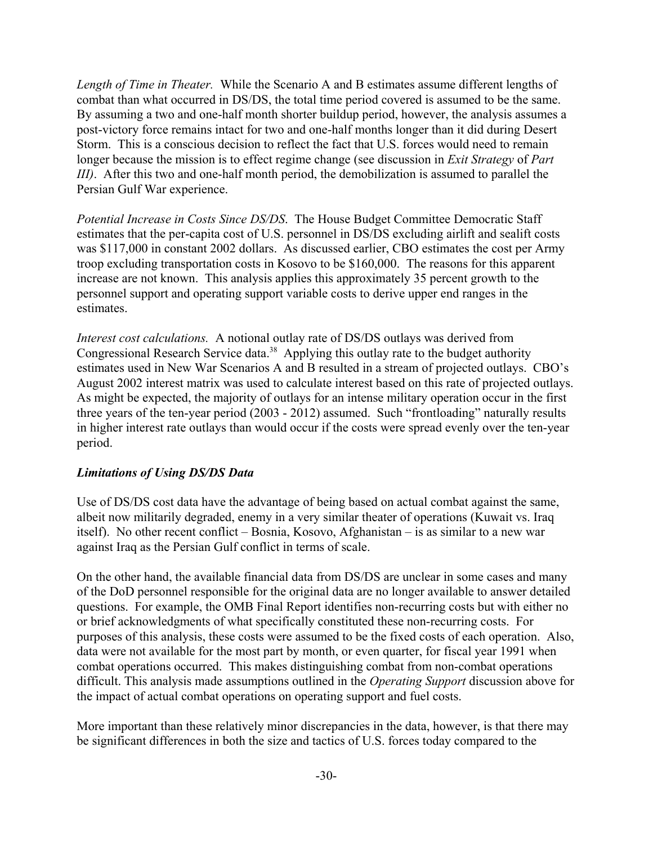*Length of Time in Theater.* While the Scenario A and B estimates assume different lengths of combat than what occurred in DS/DS, the total time period covered is assumed to be the same. By assuming a two and one-half month shorter buildup period, however, the analysis assumes a post-victory force remains intact for two and one-half months longer than it did during Desert Storm. This is a conscious decision to reflect the fact that U.S. forces would need to remain longer because the mission is to effect regime change (see discussion in *Exit Strategy* of *Part III)*. After this two and one-half month period, the demobilization is assumed to parallel the Persian Gulf War experience.

*Potential Increase in Costs Since DS/DS*. The House Budget Committee Democratic Staff estimates that the per-capita cost of U.S. personnel in DS/DS excluding airlift and sealift costs was \$117,000 in constant 2002 dollars. As discussed earlier, CBO estimates the cost per Army troop excluding transportation costs in Kosovo to be \$160,000. The reasons for this apparent increase are not known. This analysis applies this approximately 35 percent growth to the personnel support and operating support variable costs to derive upper end ranges in the estimates.

*Interest cost calculations.* A notional outlay rate of DS/DS outlays was derived from Congressional Research Service data.<sup>38</sup> Applying this outlay rate to the budget authority estimates used in New War Scenarios A and B resulted in a stream of projected outlays. CBO's August 2002 interest matrix was used to calculate interest based on this rate of projected outlays. As might be expected, the majority of outlays for an intense military operation occur in the first three years of the ten-year period (2003 - 2012) assumed. Such "frontloading" naturally results in higher interest rate outlays than would occur if the costs were spread evenly over the ten-year period.

#### *Limitations of Using DS/DS Data*

Use of DS/DS cost data have the advantage of being based on actual combat against the same, albeit now militarily degraded, enemy in a very similar theater of operations (Kuwait vs. Iraq itself). No other recent conflict – Bosnia, Kosovo, Afghanistan – is as similar to a new war against Iraq as the Persian Gulf conflict in terms of scale.

On the other hand, the available financial data from DS/DS are unclear in some cases and many of the DoD personnel responsible for the original data are no longer available to answer detailed questions. For example, the OMB Final Report identifies non-recurring costs but with either no or brief acknowledgments of what specifically constituted these non-recurring costs. For purposes of this analysis, these costs were assumed to be the fixed costs of each operation. Also, data were not available for the most part by month, or even quarter, for fiscal year 1991 when combat operations occurred. This makes distinguishing combat from non-combat operations difficult. This analysis made assumptions outlined in the *Operating Support* discussion above for the impact of actual combat operations on operating support and fuel costs.

More important than these relatively minor discrepancies in the data, however, is that there may be significant differences in both the size and tactics of U.S. forces today compared to the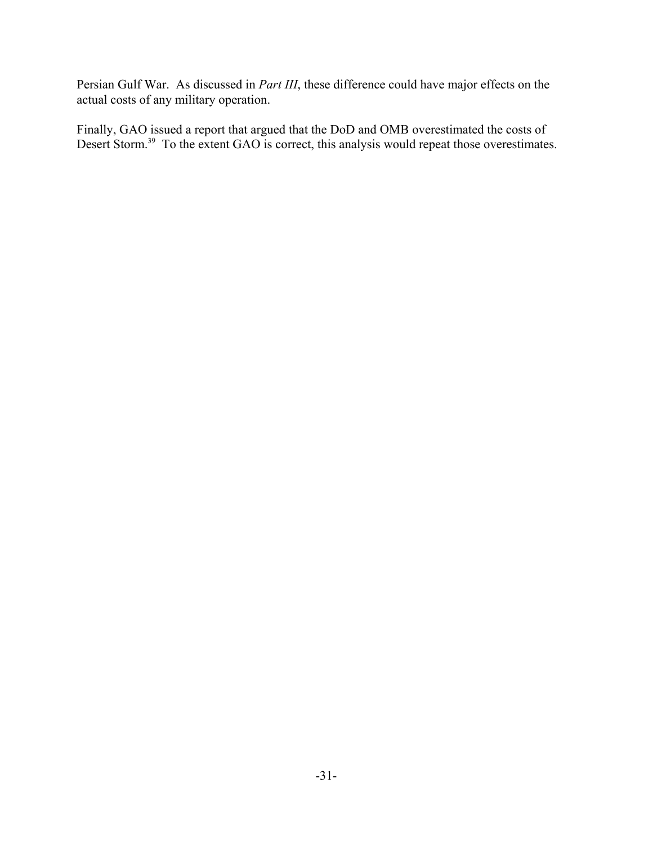Persian Gulf War. As discussed in *Part III*, these difference could have major effects on the actual costs of any military operation.

Finally, GAO issued a report that argued that the DoD and OMB overestimated the costs of Desert Storm.<sup>39</sup> To the extent GAO is correct, this analysis would repeat those overestimates.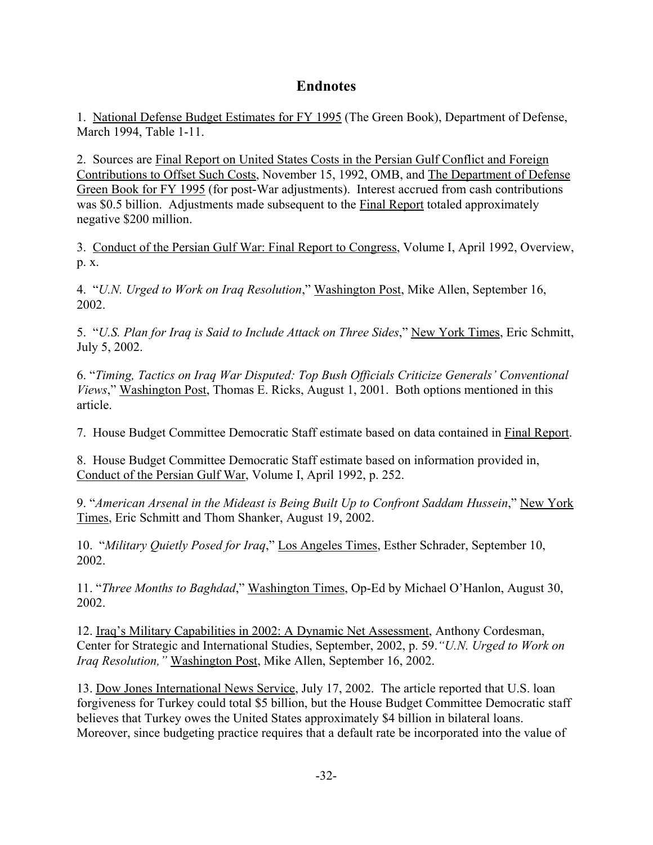## **Endnotes**

1. National Defense Budget Estimates for FY 1995 (The Green Book), Department of Defense, March 1994, Table 1-11.

2. Sources are Final Report on United States Costs in the Persian Gulf Conflict and Foreign Contributions to Offset Such Costs, November 15, 1992, OMB, and The Department of Defense Green Book for FY 1995 (for post-War adjustments). Interest accrued from cash contributions was \$0.5 billion. Adjustments made subsequent to the Final Report totaled approximately negative \$200 million.

3. Conduct of the Persian Gulf War: Final Report to Congress, Volume I, April 1992, Overview, p. x.

4. "*U.N. Urged to Work on Iraq Resolution*," Washington Post, Mike Allen, September 16, 2002.

5. "*U.S. Plan for Iraq is Said to Include Attack on Three Sides*," New York Times, Eric Schmitt, July 5, 2002.

6. "*Timing, Tactics on Iraq War Disputed: Top Bush Officials Criticize Generals' Conventional Views*," Washington Post, Thomas E. Ricks, August 1, 2001. Both options mentioned in this article.

7. House Budget Committee Democratic Staff estimate based on data contained in Final Report.

8. House Budget Committee Democratic Staff estimate based on information provided in, Conduct of the Persian Gulf War, Volume I, April 1992, p. 252.

9. "*American Arsenal in the Mideast is Being Built Up to Confront Saddam Hussein*," New York Times, Eric Schmitt and Thom Shanker, August 19, 2002.

10. "*Military Quietly Posed for Iraq*," Los Angeles Times, Esther Schrader, September 10, 2002.

11. "*Three Months to Baghdad*," Washington Times, Op-Ed by Michael O'Hanlon, August 30, 2002.

12. Iraq's Military Capabilities in 2002: A Dynamic Net Assessment, Anthony Cordesman, Center for Strategic and International Studies, September, 2002, p. 59.*"U.N. Urged to Work on Iraq Resolution,"* Washington Post, Mike Allen, September 16, 2002.

13. Dow Jones International News Service, July 17, 2002. The article reported that U.S. loan forgiveness for Turkey could total \$5 billion, but the House Budget Committee Democratic staff believes that Turkey owes the United States approximately \$4 billion in bilateral loans. Moreover, since budgeting practice requires that a default rate be incorporated into the value of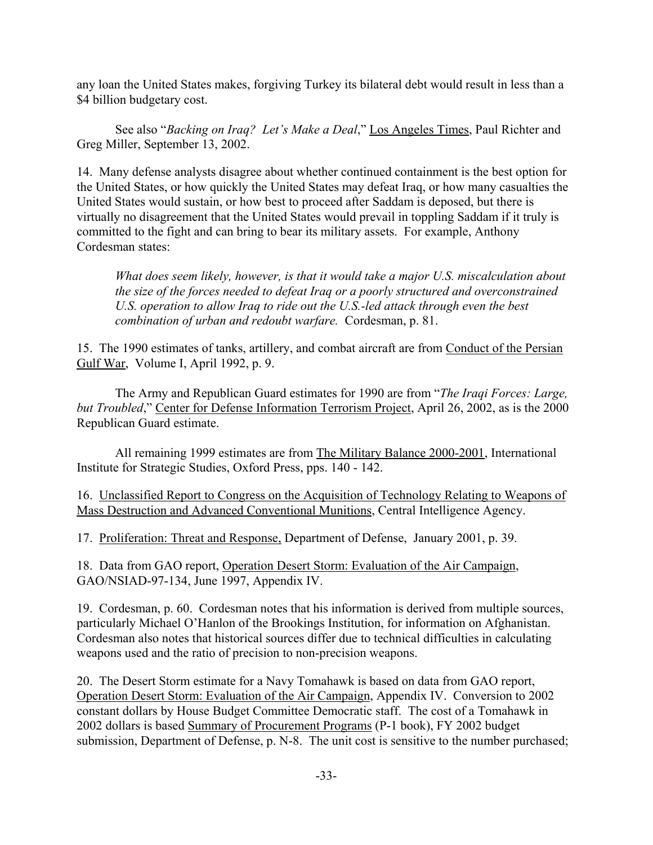any loan the United States makes, forgiving Turkey its bilateral debt would result in less than a \$4 billion budgetary cost.

See also "*Backing on Iraq? Let's Make a Deal*," Los Angeles Times, Paul Richter and Greg Miller, September 13, 2002.

14. Many defense analysts disagree about whether continued containment is the best option for the United States, or how quickly the United States may defeat Iraq, or how many casualties the United States would sustain, or how best to proceed after Saddam is deposed, but there is virtually no disagreement that the United States would prevail in toppling Saddam if it truly is committed to the fight and can bring to bear its military assets. For example, Anthony Cordesman states:

*What does seem likely, however, is that it would take a major U.S. miscalculation about the size of the forces needed to defeat Iraq or a poorly structured and overconstrained U.S. operation to allow Iraq to ride out the U.S.-led attack through even the best combination of urban and redoubt warfare.* Cordesman, p. 81.

15. The 1990 estimates of tanks, artillery, and combat aircraft are from Conduct of the Persian Gulf War, Volume I, April 1992, p. 9.

The Army and Republican Guard estimates for 1990 are from "*The Iraqi Forces: Large, but Troubled*," Center for Defense Information Terrorism Project, April 26, 2002, as is the 2000 Republican Guard estimate.

All remaining 1999 estimates are from The Military Balance 2000-2001, International Institute for Strategic Studies, Oxford Press, pps. 140 - 142.

16. Unclassified Report to Congress on the Acquisition of Technology Relating to Weapons of Mass Destruction and Advanced Conventional Munitions, Central Intelligence Agency.

17. Proliferation: Threat and Response, Department of Defense, January 2001, p. 39.

18. Data from GAO report, Operation Desert Storm: Evaluation of the Air Campaign, GAO/NSIAD-97-134, June 1997, Appendix IV.

19. Cordesman, p. 60. Cordesman notes that his information is derived from multiple sources, particularly Michael O'Hanlon of the Brookings Institution, for information on Afghanistan. Cordesman also notes that historical sources differ due to technical difficulties in calculating weapons used and the ratio of precision to non-precision weapons.

20. The Desert Storm estimate for a Navy Tomahawk is based on data from GAO report, Operation Desert Storm: Evaluation of the Air Campaign, Appendix IV. Conversion to 2002 constant dollars by House Budget Committee Democratic staff. The cost of a Tomahawk in 2002 dollars is based Summary of Procurement Programs (P-1 book), FY 2002 budget submission, Department of Defense, p. N-8. The unit cost is sensitive to the number purchased;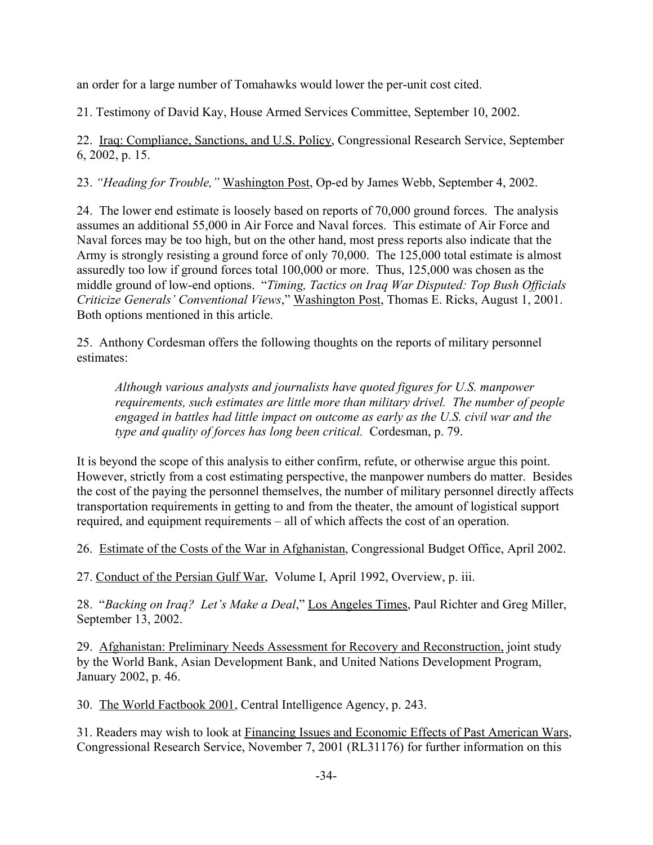an order for a large number of Tomahawks would lower the per-unit cost cited.

21. Testimony of David Kay, House Armed Services Committee, September 10, 2002.

22. Iraq: Compliance, Sanctions, and U.S. Policy, Congressional Research Service, September 6, 2002, p. 15.

23. *"Heading for Trouble,"* Washington Post, Op-ed by James Webb, September 4, 2002.

24. The lower end estimate is loosely based on reports of 70,000 ground forces. The analysis assumes an additional 55,000 in Air Force and Naval forces. This estimate of Air Force and Naval forces may be too high, but on the other hand, most press reports also indicate that the Army is strongly resisting a ground force of only 70,000. The 125,000 total estimate is almost assuredly too low if ground forces total 100,000 or more. Thus, 125,000 was chosen as the middle ground of low-end options. "*Timing, Tactics on Iraq War Disputed: Top Bush Officials Criticize Generals' Conventional Views*," Washington Post, Thomas E. Ricks, August 1, 2001. Both options mentioned in this article.

25. Anthony Cordesman offers the following thoughts on the reports of military personnel estimates:

*Although various analysts and journalists have quoted figures for U.S. manpower requirements, such estimates are little more than military drivel. The number of people engaged in battles had little impact on outcome as early as the U.S. civil war and the type and quality of forces has long been critical.* Cordesman, p. 79.

It is beyond the scope of this analysis to either confirm, refute, or otherwise argue this point. However, strictly from a cost estimating perspective, the manpower numbers do matter. Besides the cost of the paying the personnel themselves, the number of military personnel directly affects transportation requirements in getting to and from the theater, the amount of logistical support required, and equipment requirements – all of which affects the cost of an operation.

26. Estimate of the Costs of the War in Afghanistan, Congressional Budget Office, April 2002.

27. Conduct of the Persian Gulf War, Volume I, April 1992, Overview, p. iii.

28. "*Backing on Iraq? Let's Make a Deal*," Los Angeles Times, Paul Richter and Greg Miller, September 13, 2002.

29. Afghanistan: Preliminary Needs Assessment for Recovery and Reconstruction, joint study by the World Bank, Asian Development Bank, and United Nations Development Program, January 2002, p. 46.

30. The World Factbook 2001, Central Intelligence Agency, p. 243.

31. Readers may wish to look at Financing Issues and Economic Effects of Past American Wars, Congressional Research Service, November 7, 2001 (RL31176) for further information on this